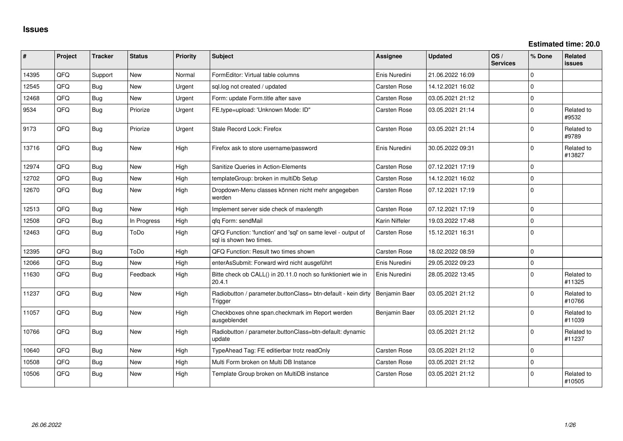**Estimated time: 20.0**

| #     | Project | <b>Tracker</b> | <b>Status</b> | <b>Priority</b> | <b>Subject</b>                                                                          | Assignee            | <b>Updated</b>   | OS/<br><b>Services</b> | % Done      | <b>Related</b><br><b>issues</b> |
|-------|---------|----------------|---------------|-----------------|-----------------------------------------------------------------------------------------|---------------------|------------------|------------------------|-------------|---------------------------------|
| 14395 | QFQ     | Support        | <b>New</b>    | Normal          | FormEditor: Virtual table columns                                                       | Enis Nuredini       | 21.06.2022 16:09 |                        | $\Omega$    |                                 |
| 12545 | QFQ     | Bug            | New           | Urgent          | sql.log not created / updated                                                           | Carsten Rose        | 14.12.2021 16:02 |                        | $\mathbf 0$ |                                 |
| 12468 | QFQ     | Bug            | <b>New</b>    | Urgent          | Form: update Form.title after save                                                      | Carsten Rose        | 03.05.2021 21:12 |                        | $\Omega$    |                                 |
| 9534  | QFQ     | Bug            | Priorize      | Urgent          | FE.type=upload: 'Unknown Mode: ID"                                                      | Carsten Rose        | 03.05.2021 21:14 |                        | $\mathbf 0$ | Related to<br>#9532             |
| 9173  | QFQ     | <b>Bug</b>     | Priorize      | Urgent          | Stale Record Lock: Firefox                                                              | Carsten Rose        | 03.05.2021 21:14 |                        | $\Omega$    | Related to<br>#9789             |
| 13716 | QFQ     | Bug            | <b>New</b>    | High            | Firefox ask to store username/password                                                  | Enis Nuredini       | 30.05.2022 09:31 |                        | $\mathbf 0$ | Related to<br>#13827            |
| 12974 | QFQ     | Bug            | <b>New</b>    | High            | Sanitize Queries in Action-Elements                                                     | Carsten Rose        | 07.12.2021 17:19 |                        | $\mathbf 0$ |                                 |
| 12702 | QFQ     | <b>Bug</b>     | New           | High            | templateGroup: broken in multiDb Setup                                                  | Carsten Rose        | 14.12.2021 16:02 |                        | $\Omega$    |                                 |
| 12670 | QFQ     | <b>Bug</b>     | <b>New</b>    | High            | Dropdown-Menu classes können nicht mehr angegeben<br>werden                             | Carsten Rose        | 07.12.2021 17:19 |                        | $\Omega$    |                                 |
| 12513 | QFQ     | Bug            | <b>New</b>    | High            | Implement server side check of maxlength                                                | Carsten Rose        | 07.12.2021 17:19 |                        | $\Omega$    |                                 |
| 12508 | QFQ     | <b>Bug</b>     | In Progress   | High            | qfq Form: sendMail                                                                      | Karin Niffeler      | 19.03.2022 17:48 |                        | $\mathbf 0$ |                                 |
| 12463 | QFQ     | Bug            | ToDo          | High            | QFQ Function: 'function' and 'sgl' on same level - output of<br>sal is shown two times. | Carsten Rose        | 15.12.2021 16:31 |                        | $\Omega$    |                                 |
| 12395 | QFQ     | Bug            | ToDo          | High            | QFQ Function: Result two times shown                                                    | <b>Carsten Rose</b> | 18.02.2022 08:59 |                        | $\Omega$    |                                 |
| 12066 | QFQ     | Bug            | New           | High            | enterAsSubmit: Forward wird nicht ausgeführt                                            | Enis Nuredini       | 29.05.2022 09:23 |                        | $\mathbf 0$ |                                 |
| 11630 | QFQ     | Bug            | Feedback      | High            | Bitte check ob CALL() in 20.11.0 noch so funktioniert wie in<br>20.4.1                  | Enis Nuredini       | 28.05.2022 13:45 |                        | $\mathbf 0$ | Related to<br>#11325            |
| 11237 | QFQ     | Bug            | New           | High            | Radiobutton / parameter.buttonClass= btn-default - kein dirty<br>Trigger                | Benjamin Baer       | 03.05.2021 21:12 |                        | $\Omega$    | Related to<br>#10766            |
| 11057 | QFQ     | Bug            | <b>New</b>    | High            | Checkboxes ohne span.checkmark im Report werden<br>ausgeblendet                         | Benjamin Baer       | 03.05.2021 21:12 |                        | $\mathbf 0$ | Related to<br>#11039            |
| 10766 | QFQ     | Bug            | <b>New</b>    | High            | Radiobutton / parameter.buttonClass=btn-default: dynamic<br>update                      |                     | 03.05.2021 21:12 |                        | $\mathbf 0$ | Related to<br>#11237            |
| 10640 | QFQ     | <b>Bug</b>     | New           | High            | TypeAhead Tag: FE editierbar trotz readOnly                                             | Carsten Rose        | 03.05.2021 21:12 |                        | $\mathbf 0$ |                                 |
| 10508 | QFQ     | Bug            | <b>New</b>    | High            | Multi Form broken on Multi DB Instance                                                  | <b>Carsten Rose</b> | 03.05.2021 21:12 |                        | $\mathbf 0$ |                                 |
| 10506 | QFQ     | Bug            | New           | High            | Template Group broken on MultiDB instance                                               | <b>Carsten Rose</b> | 03.05.2021 21:12 |                        | $\Omega$    | Related to<br>#10505            |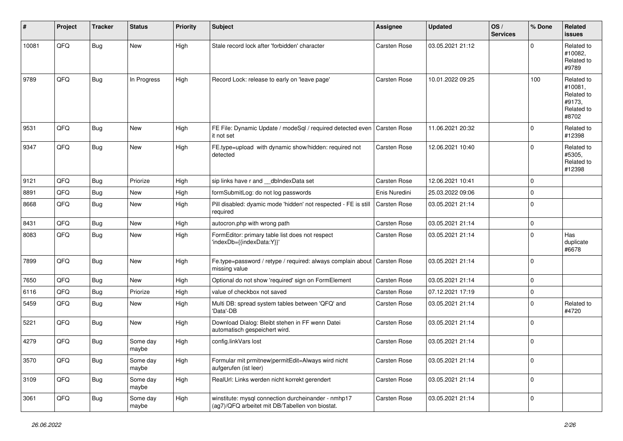| #     | Project | <b>Tracker</b> | <b>Status</b>     | <b>Priority</b> | <b>Subject</b>                                                                                         | <b>Assignee</b>     | <b>Updated</b>   | OS/<br><b>Services</b> | % Done      | <b>Related</b><br>issues                                             |
|-------|---------|----------------|-------------------|-----------------|--------------------------------------------------------------------------------------------------------|---------------------|------------------|------------------------|-------------|----------------------------------------------------------------------|
| 10081 | QFQ     | Bug            | New               | High            | Stale record lock after 'forbidden' character                                                          | Carsten Rose        | 03.05.2021 21:12 |                        | $\Omega$    | Related to<br>#10082.<br>Related to<br>#9789                         |
| 9789  | QFQ     | Bug            | In Progress       | High            | Record Lock: release to early on 'leave page'                                                          | Carsten Rose        | 10.01.2022 09:25 |                        | 100         | Related to<br>#10081,<br>Related to<br>#9173,<br>Related to<br>#8702 |
| 9531  | QFQ     | Bug            | <b>New</b>        | High            | FE File: Dynamic Update / modeSql / required detected even<br>it not set                               | <b>Carsten Rose</b> | 11.06.2021 20:32 |                        | $\Omega$    | Related to<br>#12398                                                 |
| 9347  | QFQ     | Bug            | <b>New</b>        | High            | FE.type=upload with dynamic show/hidden: required not<br>detected                                      | Carsten Rose        | 12.06.2021 10:40 |                        | $\mathbf 0$ | Related to<br>#5305,<br>Related to<br>#12398                         |
| 9121  | QFQ     | <b>Bug</b>     | Priorize          | High            | sip links have r and __dbIndexData set                                                                 | Carsten Rose        | 12.06.2021 10:41 |                        | $\mathbf 0$ |                                                                      |
| 8891  | QFQ     | Bug            | <b>New</b>        | High            | formSubmitLog: do not log passwords                                                                    | Enis Nuredini       | 25.03.2022 09:06 |                        | $\mathbf 0$ |                                                                      |
| 8668  | QFQ     | Bug            | <b>New</b>        | High            | Pill disabled: dyamic mode 'hidden' not respected - FE is still<br>required                            | Carsten Rose        | 03.05.2021 21:14 |                        | $\Omega$    |                                                                      |
| 8431  | QFQ     | Bug            | New               | High            | autocron.php with wrong path                                                                           | Carsten Rose        | 03.05.2021 21:14 |                        | $\mathbf 0$ |                                                                      |
| 8083  | QFQ     | Bug            | New               | High            | FormEditor: primary table list does not respect<br>'indexDb={{indexData:Y}}'                           | Carsten Rose        | 03.05.2021 21:14 |                        | $\Omega$    | Has<br>duplicate<br>#6678                                            |
| 7899  | QFQ     | Bug            | <b>New</b>        | High            | Fe.type=password / retype / required: always complain about<br>missing value                           | Carsten Rose        | 03.05.2021 21:14 |                        | $\Omega$    |                                                                      |
| 7650  | QFQ     | Bug            | New               | High            | Optional do not show 'required' sign on FormElement                                                    | Carsten Rose        | 03.05.2021 21:14 |                        | $\mathbf 0$ |                                                                      |
| 6116  | QFQ     | <b>Bug</b>     | Priorize          | High            | value of checkbox not saved                                                                            | Carsten Rose        | 07.12.2021 17:19 |                        | $\mathbf 0$ |                                                                      |
| 5459  | QFQ     | Bug            | <b>New</b>        | High            | Multi DB: spread system tables between 'QFQ' and<br>'Data'-DB                                          | Carsten Rose        | 03.05.2021 21:14 |                        | $\Omega$    | Related to<br>#4720                                                  |
| 5221  | QFQ     | Bug            | New               | High            | Download Dialog: Bleibt stehen in FF wenn Datei<br>automatisch gespeichert wird.                       | Carsten Rose        | 03.05.2021 21:14 |                        | $\mathbf 0$ |                                                                      |
| 4279  | QFQ     | Bug            | Some day<br>maybe | High            | config.linkVars lost                                                                                   | Carsten Rose        | 03.05.2021 21:14 |                        | $\Omega$    |                                                                      |
| 3570  | QFQ     | Bug            | Some day<br>maybe | High            | Formular mit prmitnew permitEdit=Always wird nicht<br>aufgerufen (ist leer)                            | Carsten Rose        | 03.05.2021 21:14 |                        | $\mathbf 0$ |                                                                      |
| 3109  | QFQ     | Bug            | Some day<br>maybe | High            | RealUrl: Links werden nicht korrekt gerendert                                                          | Carsten Rose        | 03.05.2021 21:14 |                        | $\mathbf 0$ |                                                                      |
| 3061  | QFQ     | <b>Bug</b>     | Some day<br>maybe | High            | winstitute: mysql connection durcheinander - nmhp17<br>(ag7)/QFQ arbeitet mit DB/Tabellen von biostat. | Carsten Rose        | 03.05.2021 21:14 |                        | $\mathbf 0$ |                                                                      |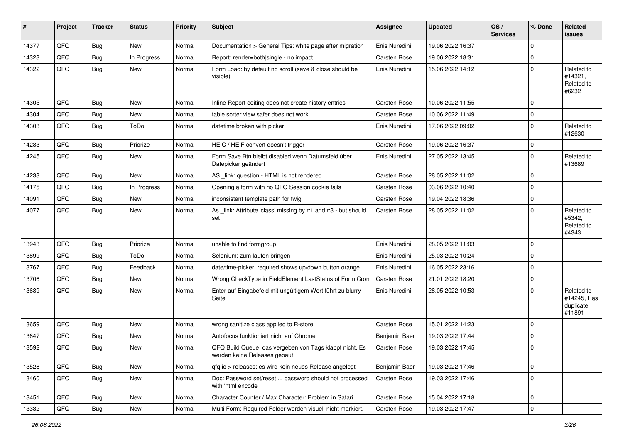| #     | Project | <b>Tracker</b> | <b>Status</b> | <b>Priority</b> | <b>Subject</b>                                                                           | Assignee            | <b>Updated</b>   | OS/<br><b>Services</b> | % Done      | Related<br>issues                                |
|-------|---------|----------------|---------------|-----------------|------------------------------------------------------------------------------------------|---------------------|------------------|------------------------|-------------|--------------------------------------------------|
| 14377 | QFQ     | <b>Bug</b>     | New           | Normal          | Documentation > General Tips: white page after migration                                 | Enis Nuredini       | 19.06.2022 16:37 |                        | $\mathbf 0$ |                                                  |
| 14323 | QFQ     | <b>Bug</b>     | In Progress   | Normal          | Report: render=both single - no impact                                                   | Carsten Rose        | 19.06.2022 18:31 |                        | $\mathbf 0$ |                                                  |
| 14322 | QFQ     | Bug            | New           | Normal          | Form Load: by default no scroll (save & close should be<br>visible)                      | Enis Nuredini       | 15.06.2022 14:12 |                        | $\mathbf 0$ | Related to<br>#14321,<br>Related to<br>#6232     |
| 14305 | QFQ     | <b>Bug</b>     | <b>New</b>    | Normal          | Inline Report editing does not create history entries                                    | <b>Carsten Rose</b> | 10.06.2022 11:55 |                        | $\mathbf 0$ |                                                  |
| 14304 | QFQ     | <b>Bug</b>     | New           | Normal          | table sorter view safer does not work                                                    | <b>Carsten Rose</b> | 10.06.2022 11:49 |                        | $\mathbf 0$ |                                                  |
| 14303 | QFQ     | <b>Bug</b>     | ToDo          | Normal          | datetime broken with picker                                                              | Enis Nuredini       | 17.06.2022 09:02 |                        | $\mathbf 0$ | Related to<br>#12630                             |
| 14283 | QFQ     | <b>Bug</b>     | Priorize      | Normal          | HEIC / HEIF convert doesn't trigger                                                      | Carsten Rose        | 19.06.2022 16:37 |                        | $\mathbf 0$ |                                                  |
| 14245 | QFQ     | <b>Bug</b>     | New           | Normal          | Form Save Btn bleibt disabled wenn Datumsfeld über<br>Datepicker geändert                | Enis Nuredini       | 27.05.2022 13:45 |                        | $\mathbf 0$ | Related to<br>#13689                             |
| 14233 | QFQ     | <b>Bug</b>     | New           | Normal          | AS _link: question - HTML is not rendered                                                | Carsten Rose        | 28.05.2022 11:02 |                        | $\mathbf 0$ |                                                  |
| 14175 | QFQ     | <b>Bug</b>     | In Progress   | Normal          | Opening a form with no QFQ Session cookie fails                                          | Carsten Rose        | 03.06.2022 10:40 |                        | $\mathbf 0$ |                                                  |
| 14091 | QFQ     | <b>Bug</b>     | New           | Normal          | inconsistent template path for twig                                                      | Carsten Rose        | 19.04.2022 18:36 |                        | $\mathbf 0$ |                                                  |
| 14077 | QFQ     | <b>Bug</b>     | <b>New</b>    | Normal          | As link: Attribute 'class' missing by r:1 and r:3 - but should<br>set                    | Carsten Rose        | 28.05.2022 11:02 |                        | $\mathbf 0$ | Related to<br>#5342,<br>Related to<br>#4343      |
| 13943 | QFQ     | <b>Bug</b>     | Priorize      | Normal          | unable to find formgroup                                                                 | Enis Nuredini       | 28.05.2022 11:03 |                        | $\mathbf 0$ |                                                  |
| 13899 | QFQ     | <b>Bug</b>     | ToDo          | Normal          | Selenium: zum laufen bringen                                                             | Enis Nuredini       | 25.03.2022 10:24 |                        | $\mathbf 0$ |                                                  |
| 13767 | QFQ     | <b>Bug</b>     | Feedback      | Normal          | date/time-picker: required shows up/down button orange                                   | Enis Nuredini       | 16.05.2022 23:16 |                        | $\mathbf 0$ |                                                  |
| 13706 | QFQ     | <b>Bug</b>     | New           | Normal          | Wrong CheckType in FieldElement LastStatus of Form Cron                                  | <b>Carsten Rose</b> | 21.01.2022 18:20 |                        | $\mathbf 0$ |                                                  |
| 13689 | QFQ     | <b>Bug</b>     | <b>New</b>    | Normal          | Enter auf Eingabefeld mit ungültigem Wert führt zu blurry<br>Seite                       | Enis Nuredini       | 28.05.2022 10:53 |                        | $\mathbf 0$ | Related to<br>#14245, Has<br>duplicate<br>#11891 |
| 13659 | QFQ     | <b>Bug</b>     | New           | Normal          | wrong sanitize class applied to R-store                                                  | Carsten Rose        | 15.01.2022 14:23 |                        | $\mathbf 0$ |                                                  |
| 13647 | QFQ     | <b>Bug</b>     | <b>New</b>    | Normal          | Autofocus funktioniert nicht auf Chrome                                                  | Benjamin Baer       | 19.03.2022 17:44 |                        | $\mathbf 0$ |                                                  |
| 13592 | QFQ     | <b>Bug</b>     | <b>New</b>    | Normal          | QFQ Build Queue: das vergeben von Tags klappt nicht. Es<br>werden keine Releases gebaut. | <b>Carsten Rose</b> | 19.03.2022 17:45 |                        | $\mathbf 0$ |                                                  |
| 13528 | QFQ     | <b>Bug</b>     | New           | Normal          | qfq.io > releases: es wird kein neues Release angelegt                                   | Benjamin Baer       | 19.03.2022 17:46 |                        | $\mathbf 0$ |                                                  |
| 13460 | QFQ     | Bug            | New           | Normal          | Doc: Password set/reset  password should not processed<br>with 'html encode'             | Carsten Rose        | 19.03.2022 17:46 |                        | $\mathbf 0$ |                                                  |
| 13451 | QFQ     | <b>Bug</b>     | New           | Normal          | Character Counter / Max Character: Problem in Safari                                     | Carsten Rose        | 15.04.2022 17:18 |                        | $\pmb{0}$   |                                                  |
| 13332 | QFQ     | Bug            | New           | Normal          | Multi Form: Required Felder werden visuell nicht markiert.                               | Carsten Rose        | 19.03.2022 17:47 |                        | $\mathbf 0$ |                                                  |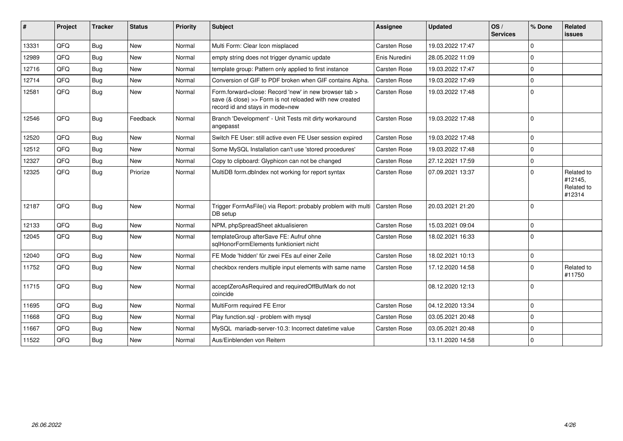| #     | Project    | <b>Tracker</b> | <b>Status</b> | <b>Priority</b> | Subject                                                                                                                                             | Assignee            | <b>Updated</b>   | OS/<br><b>Services</b> | % Done      | Related<br><b>issues</b>                      |
|-------|------------|----------------|---------------|-----------------|-----------------------------------------------------------------------------------------------------------------------------------------------------|---------------------|------------------|------------------------|-------------|-----------------------------------------------|
| 13331 | QFQ        | Bug            | <b>New</b>    | Normal          | Multi Form: Clear Icon misplaced                                                                                                                    | <b>Carsten Rose</b> | 19.03.2022 17:47 |                        | $\Omega$    |                                               |
| 12989 | QFQ        | Bug            | <b>New</b>    | Normal          | empty string does not trigger dynamic update                                                                                                        | Enis Nuredini       | 28.05.2022 11:09 |                        | $\mathbf 0$ |                                               |
| 12716 | QFQ        | Bug            | <b>New</b>    | Normal          | template group: Pattern only applied to first instance                                                                                              | Carsten Rose        | 19.03.2022 17:47 |                        | $\Omega$    |                                               |
| 12714 | <b>OFO</b> | Bug            | <b>New</b>    | Normal          | Conversion of GIF to PDF broken when GIF contains Alpha.                                                                                            | Carsten Rose        | 19.03.2022 17:49 |                        | $\Omega$    |                                               |
| 12581 | QFQ        | Bug            | New           | Normal          | Form.forward=close: Record 'new' in new browser tab ><br>save (& close) >> Form is not reloaded with new created<br>record id and stays in mode=new | <b>Carsten Rose</b> | 19.03.2022 17:48 |                        | $\mathbf 0$ |                                               |
| 12546 | QFQ        | Bug            | Feedback      | Normal          | Branch 'Development' - Unit Tests mit dirty workaround<br>angepasst                                                                                 | <b>Carsten Rose</b> | 19.03.2022 17:48 |                        | $\Omega$    |                                               |
| 12520 | QFQ        | <b>Bug</b>     | <b>New</b>    | Normal          | Switch FE User: still active even FE User session expired                                                                                           | <b>Carsten Rose</b> | 19.03.2022 17:48 |                        | $\Omega$    |                                               |
| 12512 | QFQ        | Bug            | <b>New</b>    | Normal          | Some MySQL Installation can't use 'stored procedures'                                                                                               | <b>Carsten Rose</b> | 19.03.2022 17:48 |                        | $\Omega$    |                                               |
| 12327 | QFQ        | Bug            | <b>New</b>    | Normal          | Copy to clipboard: Glyphicon can not be changed                                                                                                     | Carsten Rose        | 27.12.2021 17:59 |                        | $\Omega$    |                                               |
| 12325 | QFQ        | Bug            | Priorize      | Normal          | MultiDB form.dblndex not working for report syntax                                                                                                  | <b>Carsten Rose</b> | 07.09.2021 13:37 |                        | $\Omega$    | Related to<br>#12145.<br>Related to<br>#12314 |
| 12187 | QFQ        | Bug            | <b>New</b>    | Normal          | Trigger FormAsFile() via Report: probably problem with multi<br>DB setup                                                                            | Carsten Rose        | 20.03.2021 21:20 |                        | $\Omega$    |                                               |
| 12133 | QFQ        | Bug            | <b>New</b>    | Normal          | NPM, phpSpreadSheet aktualisieren                                                                                                                   | Carsten Rose        | 15.03.2021 09:04 |                        | $\Omega$    |                                               |
| 12045 | <b>OFO</b> | Bug            | <b>New</b>    | Normal          | templateGroup afterSave FE: Aufruf ohne<br>sqlHonorFormElements funktioniert nicht                                                                  | Carsten Rose        | 18.02.2021 16:33 |                        | $\Omega$    |                                               |
| 12040 | QFQ        | Bug            | <b>New</b>    | Normal          | FE Mode 'hidden' für zwei FEs auf einer Zeile                                                                                                       | <b>Carsten Rose</b> | 18.02.2021 10:13 |                        | $\mathbf 0$ |                                               |
| 11752 | QFQ        | Bug            | <b>New</b>    | Normal          | checkbox renders multiple input elements with same name                                                                                             | Carsten Rose        | 17.12.2020 14:58 |                        | $\Omega$    | Related to<br>#11750                          |
| 11715 | QFQ        | Bug            | <b>New</b>    | Normal          | acceptZeroAsRequired and requiredOffButMark do not<br>coincide                                                                                      |                     | 08.12.2020 12:13 |                        | $\Omega$    |                                               |
| 11695 | QFQ        | <b>Bug</b>     | <b>New</b>    | Normal          | MultiForm required FE Error                                                                                                                         | <b>Carsten Rose</b> | 04.12.2020 13:34 |                        | $\Omega$    |                                               |
| 11668 | QFQ        | Bug            | <b>New</b>    | Normal          | Play function.sql - problem with mysql                                                                                                              | Carsten Rose        | 03.05.2021 20:48 |                        | $\Omega$    |                                               |
| 11667 | QFQ        | Bug            | <b>New</b>    | Normal          | MySQL mariadb-server-10.3: Incorrect datetime value                                                                                                 | Carsten Rose        | 03.05.2021 20:48 |                        | $\mathbf 0$ |                                               |
| 11522 | QFQ        | <b>Bug</b>     | New           | Normal          | Aus/Einblenden von Reitern                                                                                                                          |                     | 13.11.2020 14:58 |                        | $\Omega$    |                                               |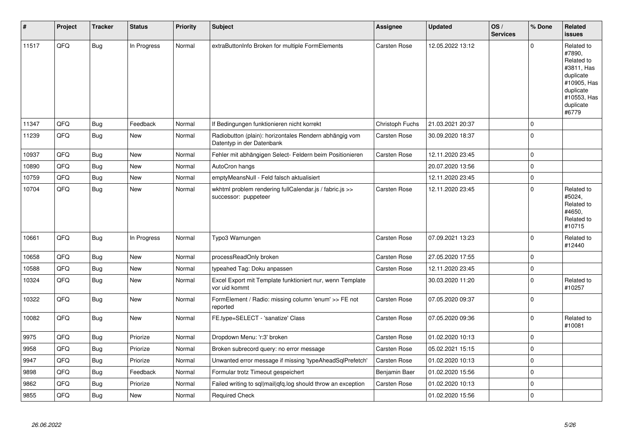| #     | Project | <b>Tracker</b> | <b>Status</b> | <b>Priority</b> | <b>Subject</b>                                                                      | <b>Assignee</b>     | <b>Updated</b>   | OS/<br><b>Services</b> | % Done      | Related<br><b>issues</b>                                                                                                       |
|-------|---------|----------------|---------------|-----------------|-------------------------------------------------------------------------------------|---------------------|------------------|------------------------|-------------|--------------------------------------------------------------------------------------------------------------------------------|
| 11517 | QFQ     | Bug            | In Progress   | Normal          | extraButtonInfo Broken for multiple FormElements                                    | <b>Carsten Rose</b> | 12.05.2022 13:12 |                        | $\Omega$    | Related to<br>#7890.<br>Related to<br>#3811, Has<br>duplicate<br>#10905, Has<br>duplicate<br>#10553, Has<br>duplicate<br>#6779 |
| 11347 | QFQ     | <b>Bug</b>     | Feedback      | Normal          | If Bedingungen funktionieren nicht korrekt                                          | Christoph Fuchs     | 21.03.2021 20:37 |                        | $\mathbf 0$ |                                                                                                                                |
| 11239 | QFQ     | <b>Bug</b>     | <b>New</b>    | Normal          | Radiobutton (plain): horizontales Rendern abhängig vom<br>Datentyp in der Datenbank | <b>Carsten Rose</b> | 30.09.2020 18:37 |                        | $\mathbf 0$ |                                                                                                                                |
| 10937 | QFQ     | <b>Bug</b>     | <b>New</b>    | Normal          | Fehler mit abhängigen Select- Feldern beim Positionieren                            | Carsten Rose        | 12.11.2020 23:45 |                        | $\mathbf 0$ |                                                                                                                                |
| 10890 | QFQ     | Bug            | <b>New</b>    | Normal          | AutoCron hangs                                                                      |                     | 20.07.2020 13:56 |                        | $\mathbf 0$ |                                                                                                                                |
| 10759 | QFQ     | <b>Bug</b>     | <b>New</b>    | Normal          | emptyMeansNull - Feld falsch aktualisiert                                           |                     | 12.11.2020 23:45 |                        | $\mathbf 0$ |                                                                                                                                |
| 10704 | QFQ     | Bug            | New           | Normal          | wkhtml problem rendering fullCalendar.js / fabric.js >><br>successor: puppeteer     | <b>Carsten Rose</b> | 12.11.2020 23:45 |                        | $\Omega$    | Related to<br>#5024,<br>Related to<br>#4650.<br>Related to<br>#10715                                                           |
| 10661 | QFQ     | Bug            | In Progress   | Normal          | Typo3 Warnungen                                                                     | <b>Carsten Rose</b> | 07.09.2021 13:23 |                        | $\Omega$    | Related to<br>#12440                                                                                                           |
| 10658 | QFQ     | Bug            | <b>New</b>    | Normal          | processReadOnly broken                                                              | <b>Carsten Rose</b> | 27.05.2020 17:55 |                        | $\mathbf 0$ |                                                                                                                                |
| 10588 | QFQ     | <b>Bug</b>     | New           | Normal          | typeahed Tag: Doku anpassen                                                         | Carsten Rose        | 12.11.2020 23:45 |                        | $\pmb{0}$   |                                                                                                                                |
| 10324 | QFQ     | <b>Bug</b>     | <b>New</b>    | Normal          | Excel Export mit Template funktioniert nur, wenn Template<br>vor uid kommt          |                     | 30.03.2020 11:20 |                        | $\mathbf 0$ | Related to<br>#10257                                                                                                           |
| 10322 | QFQ     | <b>Bug</b>     | <b>New</b>    | Normal          | FormElement / Radio: missing column 'enum' >> FE not<br>reported                    | <b>Carsten Rose</b> | 07.05.2020 09:37 |                        | $\mathbf 0$ |                                                                                                                                |
| 10082 | QFQ     | Bug            | New           | Normal          | FE.type=SELECT - 'sanatize' Class                                                   | Carsten Rose        | 07.05.2020 09:36 |                        | $\mathbf 0$ | Related to<br>#10081                                                                                                           |
| 9975  | QFQ     | Bug            | Priorize      | Normal          | Dropdown Menu: 'r:3' broken                                                         | <b>Carsten Rose</b> | 01.02.2020 10:13 |                        | $\Omega$    |                                                                                                                                |
| 9958  | QFQ     | <b>Bug</b>     | Priorize      | Normal          | Broken subrecord query: no error message                                            | Carsten Rose        | 05.02.2021 15:15 |                        | $\mathbf 0$ |                                                                                                                                |
| 9947  | QFQ     | <b>Bug</b>     | Priorize      | Normal          | Unwanted error message if missing 'typeAheadSqlPrefetch'                            | <b>Carsten Rose</b> | 01.02.2020 10:13 |                        | $\mathbf 0$ |                                                                                                                                |
| 9898  | QFQ     | <b>Bug</b>     | Feedback      | Normal          | Formular trotz Timeout gespeichert                                                  | Benjamin Baer       | 01.02.2020 15:56 |                        | $\mathbf 0$ |                                                                                                                                |
| 9862  | QFQ     | <b>Bug</b>     | Priorize      | Normal          | Failed writing to sql mail qfq.log should throw an exception                        | Carsten Rose        | 01.02.2020 10:13 |                        | $\mathbf 0$ |                                                                                                                                |
| 9855  | QFQ     | <b>Bug</b>     | <b>New</b>    | Normal          | <b>Required Check</b>                                                               |                     | 01.02.2020 15:56 |                        | $\mathbf 0$ |                                                                                                                                |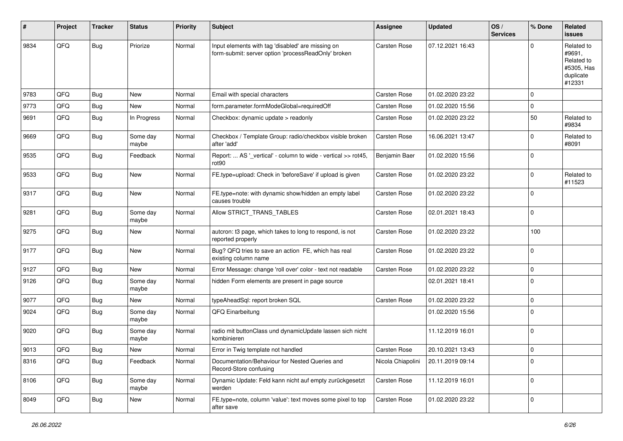| #    | Project | <b>Tracker</b> | <b>Status</b>     | <b>Priority</b> | Subject                                                                                                  | <b>Assignee</b>     | <b>Updated</b>   | OS/<br><b>Services</b> | % Done      | Related<br>issues                                                       |
|------|---------|----------------|-------------------|-----------------|----------------------------------------------------------------------------------------------------------|---------------------|------------------|------------------------|-------------|-------------------------------------------------------------------------|
| 9834 | QFQ     | Bug            | Priorize          | Normal          | Input elements with tag 'disabled' are missing on<br>form-submit: server option 'processReadOnly' broken | Carsten Rose        | 07.12.2021 16:43 |                        | $\Omega$    | Related to<br>#9691.<br>Related to<br>#5305, Has<br>duplicate<br>#12331 |
| 9783 | QFQ     | Bug            | New               | Normal          | Email with special characters                                                                            | Carsten Rose        | 01.02.2020 23:22 |                        | $\mathbf 0$ |                                                                         |
| 9773 | QFQ     | Bug            | New               | Normal          | form.parameter.formModeGlobal=requiredOff                                                                | Carsten Rose        | 01.02.2020 15:56 |                        | $\mathbf 0$ |                                                                         |
| 9691 | QFQ     | Bug            | In Progress       | Normal          | Checkbox: dynamic update > readonly                                                                      | Carsten Rose        | 01.02.2020 23:22 |                        | 50          | Related to<br>#9834                                                     |
| 9669 | QFQ     | <b>Bug</b>     | Some day<br>maybe | Normal          | Checkbox / Template Group: radio/checkbox visible broken<br>after 'add'                                  | Carsten Rose        | 16.06.2021 13:47 |                        | $\Omega$    | Related to<br>#8091                                                     |
| 9535 | QFQ     | Bug            | Feedback          | Normal          | Report:  AS '_vertical' - column to wide - vertical >> rot45,<br>rot <sub>90</sub>                       | Benjamin Baer       | 01.02.2020 15:56 |                        | $\mathbf 0$ |                                                                         |
| 9533 | QFQ     | <b>Bug</b>     | New               | Normal          | FE.type=upload: Check in 'beforeSave' if upload is given                                                 | Carsten Rose        | 01.02.2020 23:22 |                        | $\Omega$    | Related to<br>#11523                                                    |
| 9317 | QFQ     | Bug            | New               | Normal          | FE.type=note: with dynamic show/hidden an empty label<br>causes trouble                                  | Carsten Rose        | 01.02.2020 23:22 |                        | $\mathbf 0$ |                                                                         |
| 9281 | QFQ     | Bug            | Some day<br>maybe | Normal          | Allow STRICT_TRANS_TABLES                                                                                | <b>Carsten Rose</b> | 02.01.2021 18:43 |                        | $\mathbf 0$ |                                                                         |
| 9275 | QFQ     | Bug            | New               | Normal          | autcron: t3 page, which takes to long to respond, is not<br>reported properly                            | Carsten Rose        | 01.02.2020 23:22 |                        | 100         |                                                                         |
| 9177 | QFQ     | Bug            | New               | Normal          | Bug? QFQ tries to save an action FE, which has real<br>existing column name                              | Carsten Rose        | 01.02.2020 23:22 |                        | $\mathbf 0$ |                                                                         |
| 9127 | QFQ     | Bug            | New               | Normal          | Error Message: change 'roll over' color - text not readable                                              | Carsten Rose        | 01.02.2020 23:22 |                        | $\mathbf 0$ |                                                                         |
| 9126 | QFQ     | <b>Bug</b>     | Some day<br>maybe | Normal          | hidden Form elements are present in page source                                                          |                     | 02.01.2021 18:41 |                        | $\Omega$    |                                                                         |
| 9077 | QFQ     | Bug            | New               | Normal          | typeAheadSql: report broken SQL                                                                          | Carsten Rose        | 01.02.2020 23:22 |                        | $\mathbf 0$ |                                                                         |
| 9024 | QFQ     | Bug            | Some day<br>maybe | Normal          | QFQ Einarbeitung                                                                                         |                     | 01.02.2020 15:56 |                        | $\Omega$    |                                                                         |
| 9020 | QFQ     | <b>Bug</b>     | Some day<br>maybe | Normal          | radio mit buttonClass und dynamicUpdate lassen sich nicht<br>kombinieren                                 |                     | 11.12.2019 16:01 |                        | $\mathbf 0$ |                                                                         |
| 9013 | QFQ     | <b>Bug</b>     | New               | Normal          | Error in Twig template not handled                                                                       | Carsten Rose        | 20.10.2021 13:43 |                        | $\mathbf 0$ |                                                                         |
| 8316 | QFQ     | <b>Bug</b>     | Feedback          | Normal          | Documentation/Behaviour for Nested Queries and<br>Record-Store confusing                                 | Nicola Chiapolini   | 20.11.2019 09:14 |                        | $\mathbf 0$ |                                                                         |
| 8106 | QFQ     | <b>Bug</b>     | Some day<br>maybe | Normal          | Dynamic Update: Feld kann nicht auf empty zurückgesetzt<br>werden                                        | Carsten Rose        | 11.12.2019 16:01 |                        | $\mathbf 0$ |                                                                         |
| 8049 | QFQ     | <b>Bug</b>     | New               | Normal          | FE.type=note, column 'value': text moves some pixel to top<br>after save                                 | Carsten Rose        | 01.02.2020 23:22 |                        | $\mathbf 0$ |                                                                         |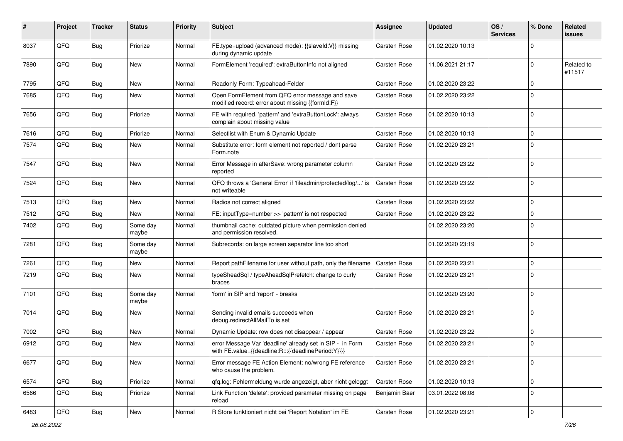| ∦    | Project | <b>Tracker</b> | <b>Status</b>     | <b>Priority</b> | Subject                                                                                                          | <b>Assignee</b>     | <b>Updated</b>   | OS/<br><b>Services</b> | % Done      | Related<br>issues    |
|------|---------|----------------|-------------------|-----------------|------------------------------------------------------------------------------------------------------------------|---------------------|------------------|------------------------|-------------|----------------------|
| 8037 | QFQ     | Bug            | Priorize          | Normal          | FE.type=upload (advanced mode): {{slaveId:V}} missing<br>during dynamic update                                   | Carsten Rose        | 01.02.2020 10:13 |                        | 0           |                      |
| 7890 | QFQ     | Bug            | New               | Normal          | FormElement 'required': extraButtonInfo not aligned                                                              | Carsten Rose        | 11.06.2021 21:17 |                        | $\mathbf 0$ | Related to<br>#11517 |
| 7795 | QFQ     | Bug            | <b>New</b>        | Normal          | Readonly Form: Typeahead-Felder                                                                                  | Carsten Rose        | 01.02.2020 23:22 |                        | 0           |                      |
| 7685 | QFQ     | <b>Bug</b>     | New               | Normal          | Open FormElement from QFQ error message and save<br>modified record: error about missing {{formId:F}}            | <b>Carsten Rose</b> | 01.02.2020 23:22 |                        | $\Omega$    |                      |
| 7656 | QFQ     | Bug            | Priorize          | Normal          | FE with required, 'pattern' and 'extraButtonLock': always<br>complain about missing value                        | Carsten Rose        | 01.02.2020 10:13 |                        | 0           |                      |
| 7616 | QFQ     | Bug            | Priorize          | Normal          | Selectlist with Enum & Dynamic Update                                                                            | <b>Carsten Rose</b> | 01.02.2020 10:13 |                        | $\mathbf 0$ |                      |
| 7574 | QFQ     | Bug            | New               | Normal          | Substitute error: form element not reported / dont parse<br>Form.note                                            | Carsten Rose        | 01.02.2020 23:21 |                        | 0           |                      |
| 7547 | QFQ     | Bug            | <b>New</b>        | Normal          | Error Message in afterSave: wrong parameter column<br>reported                                                   | Carsten Rose        | 01.02.2020 23:22 |                        | $\mathbf 0$ |                      |
| 7524 | QFQ     | Bug            | New               | Normal          | QFQ throws a 'General Error' if 'fileadmin/protected/log/' is<br>not writeable                                   | <b>Carsten Rose</b> | 01.02.2020 23:22 |                        | 0           |                      |
| 7513 | QFQ     | Bug            | <b>New</b>        | Normal          | Radios not correct aligned                                                                                       | <b>Carsten Rose</b> | 01.02.2020 23:22 |                        | $\mathbf 0$ |                      |
| 7512 | QFQ     | <b>Bug</b>     | <b>New</b>        | Normal          | FE: inputType=number >> 'pattern' is not respected                                                               | <b>Carsten Rose</b> | 01.02.2020 23:22 |                        | $\mathbf 0$ |                      |
| 7402 | QFQ     | Bug            | Some day<br>maybe | Normal          | thumbnail cache: outdated picture when permission denied<br>and permission resolved.                             |                     | 01.02.2020 23:20 |                        | $\Omega$    |                      |
| 7281 | QFQ     | Bug            | Some day<br>maybe | Normal          | Subrecords: on large screen separator line too short                                                             |                     | 01.02.2020 23:19 |                        | $\Omega$    |                      |
| 7261 | QFQ     | Bug            | <b>New</b>        | Normal          | Report pathFilename for user without path, only the filename                                                     | <b>Carsten Rose</b> | 01.02.2020 23:21 |                        | 0           |                      |
| 7219 | QFQ     | Bug            | New               | Normal          | typeSheadSql / typeAheadSqlPrefetch: change to curly<br>braces                                                   | Carsten Rose        | 01.02.2020 23:21 |                        | 0           |                      |
| 7101 | QFQ     | Bug            | Some day<br>maybe | Normal          | 'form' in SIP and 'report' - breaks                                                                              |                     | 01.02.2020 23:20 |                        | 0           |                      |
| 7014 | QFQ     | Bug            | New               | Normal          | Sending invalid emails succeeds when<br>debug.redirectAllMailTo is set                                           | <b>Carsten Rose</b> | 01.02.2020 23:21 |                        | $\mathbf 0$ |                      |
| 7002 | QFQ     | Bug            | New               | Normal          | Dynamic Update: row does not disappear / appear                                                                  | Carsten Rose        | 01.02.2020 23:22 |                        | 0           |                      |
| 6912 | QFQ     | Bug            | New               | Normal          | error Message Var 'deadline' already set in SIP - in Form<br>with FE.value={{deadline:R:::{{deadlinePeriod:Y}}}} | Carsten Rose        | 01.02.2020 23:21 |                        | $\mathbf 0$ |                      |
| 6677 | QFQ     | Bug            | New               | Normal          | Error message FE Action Element: no/wrong FE reference<br>who cause the problem.                                 | Carsten Rose        | 01.02.2020 23:21 |                        | $\mathbf 0$ |                      |
| 6574 | QFQ     | <b>Bug</b>     | Priorize          | Normal          | qfq.log: Fehlermeldung wurde angezeigt, aber nicht geloggt                                                       | Carsten Rose        | 01.02.2020 10:13 |                        | $\mathbf 0$ |                      |
| 6566 | QFQ     | Bug            | Priorize          | Normal          | Link Function 'delete': provided parameter missing on page<br>reload                                             | Benjamin Baer       | 03.01.2022 08:08 |                        | $\mathbf 0$ |                      |
| 6483 | QFQ     | <b>Bug</b>     | New               | Normal          | R Store funktioniert nicht bei 'Report Notation' im FE                                                           | Carsten Rose        | 01.02.2020 23:21 |                        | $\mathbf 0$ |                      |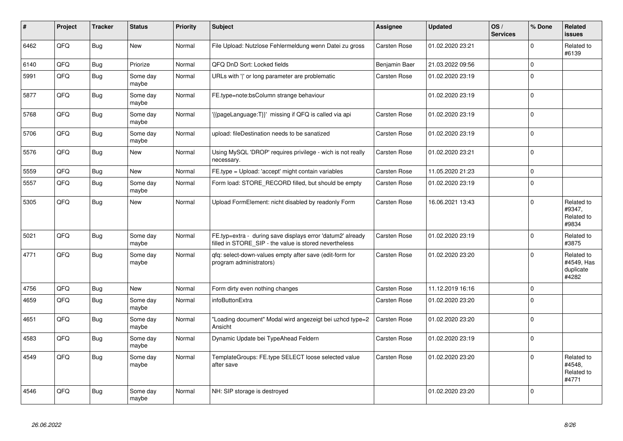| #    | Project | <b>Tracker</b> | <b>Status</b>     | <b>Priority</b> | <b>Subject</b>                                                                                                       | <b>Assignee</b>     | <b>Updated</b>   | OS/<br><b>Services</b> | % Done      | Related<br><b>issues</b>                       |
|------|---------|----------------|-------------------|-----------------|----------------------------------------------------------------------------------------------------------------------|---------------------|------------------|------------------------|-------------|------------------------------------------------|
| 6462 | QFQ     | Bug            | New               | Normal          | File Upload: Nutzlose Fehlermeldung wenn Datei zu gross                                                              | <b>Carsten Rose</b> | 01.02.2020 23:21 |                        | $\Omega$    | Related to<br>#6139                            |
| 6140 | QFQ     | <b>Bug</b>     | Priorize          | Normal          | QFQ DnD Sort: Locked fields                                                                                          | Benjamin Baer       | 21.03.2022 09:56 |                        | $\Omega$    |                                                |
| 5991 | QFQ     | <b>Bug</b>     | Some day<br>maybe | Normal          | URLs with ' ' or long parameter are problematic                                                                      | <b>Carsten Rose</b> | 01.02.2020 23:19 |                        | $\Omega$    |                                                |
| 5877 | QFQ     | <b>Bug</b>     | Some day<br>maybe | Normal          | FE.type=note:bsColumn strange behaviour                                                                              |                     | 01.02.2020 23:19 |                        | $\mathbf 0$ |                                                |
| 5768 | QFQ     | <b>Bug</b>     | Some day<br>maybe | Normal          | '{{pageLanguage:T}}' missing if QFQ is called via api                                                                | <b>Carsten Rose</b> | 01.02.2020 23:19 |                        | $\mathbf 0$ |                                                |
| 5706 | QFQ     | Bug            | Some day<br>maybe | Normal          | upload: fileDestination needs to be sanatized                                                                        | <b>Carsten Rose</b> | 01.02.2020 23:19 |                        | $\mathbf 0$ |                                                |
| 5576 | QFQ     | <b>Bug</b>     | New               | Normal          | Using MySQL 'DROP' requires privilege - wich is not really<br>necessary.                                             | <b>Carsten Rose</b> | 01.02.2020 23:21 |                        | $\mathbf 0$ |                                                |
| 5559 | QFQ     | <b>Bug</b>     | New               | Normal          | FE.type = Upload: 'accept' might contain variables                                                                   | <b>Carsten Rose</b> | 11.05.2020 21:23 |                        | $\mathbf 0$ |                                                |
| 5557 | QFQ     | <b>Bug</b>     | Some day<br>maybe | Normal          | Form load: STORE_RECORD filled, but should be empty                                                                  | Carsten Rose        | 01.02.2020 23:19 |                        | $\mathbf 0$ |                                                |
| 5305 | QFQ     | <b>Bug</b>     | <b>New</b>        | Normal          | Upload FormElement: nicht disabled by readonly Form                                                                  | Carsten Rose        | 16.06.2021 13:43 |                        | $\mathbf 0$ | Related to<br>#9347,<br>Related to<br>#9834    |
| 5021 | QFQ     | Bug            | Some day<br>maybe | Normal          | FE.typ=extra - during save displays error 'datum2' already<br>filled in STORE SIP - the value is stored nevertheless | Carsten Rose        | 01.02.2020 23:19 |                        | $\mathbf 0$ | Related to<br>#3875                            |
| 4771 | QFQ     | Bug            | Some day<br>maybe | Normal          | qfq: select-down-values empty after save (edit-form for<br>program administrators)                                   | <b>Carsten Rose</b> | 01.02.2020 23:20 |                        | $\Omega$    | Related to<br>#4549, Has<br>duplicate<br>#4282 |
| 4756 | QFQ     | Bug            | <b>New</b>        | Normal          | Form dirty even nothing changes                                                                                      | <b>Carsten Rose</b> | 11.12.2019 16:16 |                        | $\mathbf 0$ |                                                |
| 4659 | QFQ     | <b>Bug</b>     | Some day<br>maybe | Normal          | infoButtonExtra                                                                                                      | <b>Carsten Rose</b> | 01.02.2020 23:20 |                        | $\Omega$    |                                                |
| 4651 | QFQ     | Bug            | Some day<br>maybe | Normal          | 'Loading document" Modal wird angezeigt bei uzhcd type=2<br>Ansicht                                                  | Carsten Rose        | 01.02.2020 23:20 |                        | $\mathbf 0$ |                                                |
| 4583 | QFQ     | <b>Bug</b>     | Some day<br>maybe | Normal          | Dynamic Update bei TypeAhead Feldern                                                                                 | <b>Carsten Rose</b> | 01.02.2020 23:19 |                        | $\mathbf 0$ |                                                |
| 4549 | QFQ     | <b>Bug</b>     | Some day<br>maybe | Normal          | TemplateGroups: FE.type SELECT loose selected value<br>after save                                                    | Carsten Rose        | 01.02.2020 23:20 |                        | $\mathbf 0$ | Related to<br>#4548.<br>Related to<br>#4771    |
| 4546 | QFQ     | <b>Bug</b>     | Some day<br>maybe | Normal          | NH: SIP storage is destroyed                                                                                         |                     | 01.02.2020 23:20 |                        | $\Omega$    |                                                |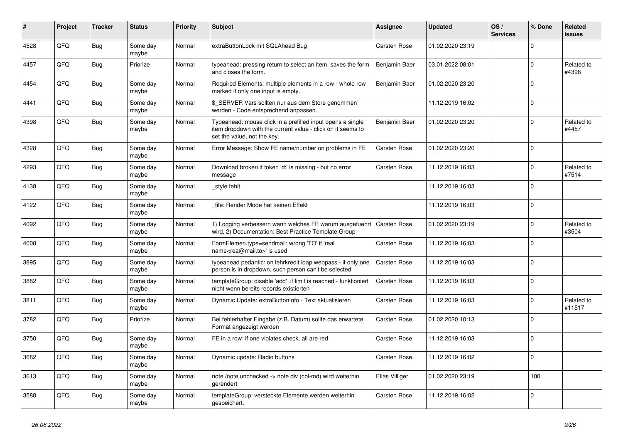| #    | Project | <b>Tracker</b> | <b>Status</b>     | <b>Priority</b> | <b>Subject</b>                                                                                                                                           | Assignee            | <b>Updated</b>   | OS/<br><b>Services</b> | % Done      | Related<br><b>issues</b> |
|------|---------|----------------|-------------------|-----------------|----------------------------------------------------------------------------------------------------------------------------------------------------------|---------------------|------------------|------------------------|-------------|--------------------------|
| 4528 | QFQ     | <b>Bug</b>     | Some day<br>maybe | Normal          | extraButtonLock mit SQLAhead Bug                                                                                                                         | <b>Carsten Rose</b> | 01.02.2020 23:19 |                        | $\Omega$    |                          |
| 4457 | QFQ     | <b>Bug</b>     | Priorize          | Normal          | typeahead: pressing return to select an item, saves the form<br>and closes the form.                                                                     | Benjamin Baer       | 03.01.2022 08:01 |                        | $\mathbf 0$ | Related to<br>#4398      |
| 4454 | QFQ     | Bug            | Some day<br>maybe | Normal          | Required Elements: multiple elements in a row - whole row<br>marked if only one input is empty.                                                          | Benjamin Baer       | 01.02.2020 23:20 |                        | $\Omega$    |                          |
| 4441 | QFQ     | Bug            | Some day<br>maybe | Normal          | \$_SERVER Vars sollten nur aus dem Store genommen<br>werden - Code entsprechend anpassen.                                                                |                     | 11.12.2019 16:02 |                        | $\mathbf 0$ |                          |
| 4398 | QFQ     | <b>Bug</b>     | Some day<br>maybe | Normal          | Typeahead: mouse click in a prefilled input opens a single<br>item dropdown with the current value - click on it seems to<br>set the value, not the key. | Benjamin Baer       | 01.02.2020 23:20 |                        | $\mathbf 0$ | Related to<br>#4457      |
| 4328 | QFQ     | Bug            | Some day<br>maybe | Normal          | Error Message: Show FE name/number on problems in FE                                                                                                     | <b>Carsten Rose</b> | 01.02.2020 23:20 |                        | $\Omega$    |                          |
| 4293 | QFQ     | Bug            | Some day<br>maybe | Normal          | Download broken if token 'd:' is missing - but no error<br>message                                                                                       | Carsten Rose        | 11.12.2019 16:03 |                        | $\mathbf 0$ | Related to<br>#7514      |
| 4138 | QFQ     | Bug            | Some day<br>maybe | Normal          | style fehlt                                                                                                                                              |                     | 11.12.2019 16:03 |                        | $\mathbf 0$ |                          |
| 4122 | QFQ     | <b>Bug</b>     | Some day<br>maybe | Normal          | file: Render Mode hat keinen Effekt                                                                                                                      |                     | 11.12.2019 16:03 |                        | $\Omega$    |                          |
| 4092 | QFQ     | <b>Bug</b>     | Some day<br>maybe | Normal          | 1) Logging verbessern wann welches FE warum ausgefuehrt<br>wird, 2) Documentation: Best Practice Template Group                                          | <b>Carsten Rose</b> | 01.02.2020 23:19 |                        | $\mathbf 0$ | Related to<br>#3504      |
| 4008 | QFQ     | Bug            | Some day<br>maybe | Normal          | FormElemen.type=sendmail: wrong 'TO' if 'real<br>name <rea@mail.to>' is used</rea@mail.to>                                                               | Carsten Rose        | 11.12.2019 16:03 |                        | $\Omega$    |                          |
| 3895 | QFQ     | <b>Bug</b>     | Some day<br>maybe | Normal          | typeahead pedantic: on lehrkredit Idap webpass - if only one<br>person is in dropdown, such person can't be selected                                     | <b>Carsten Rose</b> | 11.12.2019 16:03 |                        | $\mathbf 0$ |                          |
| 3882 | QFQ     | Bug            | Some day<br>maybe | Normal          | templateGroup: disable 'add' if limit is reached - funktioniert<br>nicht wenn bereits records existierten                                                | Carsten Rose        | 11.12.2019 16:03 |                        | $\Omega$    |                          |
| 3811 | QFQ     | Bug            | Some day<br>maybe | Normal          | Dynamic Update: extraButtonInfo - Text aktualisieren                                                                                                     | <b>Carsten Rose</b> | 11.12.2019 16:03 |                        | $\Omega$    | Related to<br>#11517     |
| 3782 | QFQ     | Bug            | Priorize          | Normal          | Bei fehlerhafter Eingabe (z.B. Datum) sollte das erwartete<br>Format angezeigt werden                                                                    | Carsten Rose        | 01.02.2020 10:13 |                        | $\mathbf 0$ |                          |
| 3750 | QFQ     | Bug            | Some day<br>maybe | Normal          | FE in a row: if one violates check, all are red                                                                                                          | <b>Carsten Rose</b> | 11.12.2019 16:03 |                        | $\mathbf 0$ |                          |
| 3682 | QFQ     | <b>Bug</b>     | Some day<br>maybe | Normal          | Dynamic update: Radio buttons                                                                                                                            | Carsten Rose        | 11.12.2019 16:02 |                        | $\Omega$    |                          |
| 3613 | QFQ     | Bug            | Some day<br>maybe | Normal          | note /note unchecked -> note div (col-md) wird weiterhin<br>gerendert                                                                                    | Elias Villiger      | 01.02.2020 23:19 |                        | 100         |                          |
| 3588 | QFQ     | Bug            | Some day<br>maybe | Normal          | templateGroup: versteckte Elemente werden weiterhin<br>gespeichert.                                                                                      | Carsten Rose        | 11.12.2019 16:02 |                        | $\mathbf 0$ |                          |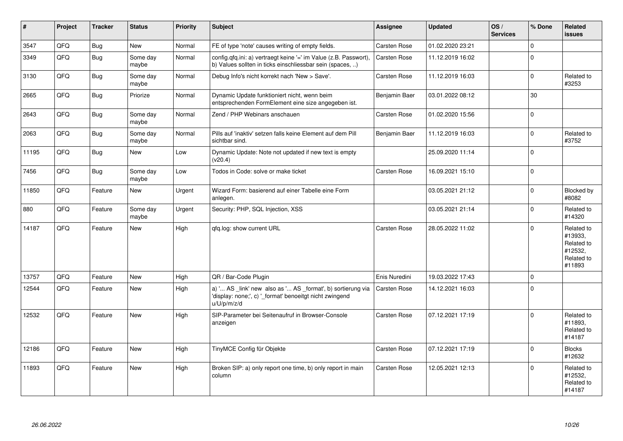| #     | Project | <b>Tracker</b> | <b>Status</b>     | <b>Priority</b> | <b>Subject</b>                                                                                                                        | Assignee            | <b>Updated</b>   | OS/<br><b>Services</b> | % Done       | Related<br><b>issues</b>                                               |
|-------|---------|----------------|-------------------|-----------------|---------------------------------------------------------------------------------------------------------------------------------------|---------------------|------------------|------------------------|--------------|------------------------------------------------------------------------|
| 3547  | QFQ     | <b>Bug</b>     | New               | Normal          | FE of type 'note' causes writing of empty fields.                                                                                     | Carsten Rose        | 01.02.2020 23:21 |                        | $\mathbf{0}$ |                                                                        |
| 3349  | QFQ     | <b>Bug</b>     | Some day<br>maybe | Normal          | config.qfq.ini: a) vertraegt keine '=' im Value (z.B. Passwort),<br>b) Values sollten in ticks einschliessbar sein (spaces, )         | Carsten Rose        | 11.12.2019 16:02 |                        | $\mathbf 0$  |                                                                        |
| 3130  | QFQ     | <b>Bug</b>     | Some day<br>maybe | Normal          | Debug Info's nicht korrekt nach 'New > Save'.                                                                                         | <b>Carsten Rose</b> | 11.12.2019 16:03 |                        | $\mathbf{0}$ | Related to<br>#3253                                                    |
| 2665  | QFQ     | Bug            | Priorize          | Normal          | Dynamic Update funktioniert nicht, wenn beim<br>entsprechenden FormElement eine size angegeben ist.                                   | Benjamin Baer       | 03.01.2022 08:12 |                        | 30           |                                                                        |
| 2643  | QFQ     | <b>Bug</b>     | Some day<br>maybe | Normal          | Zend / PHP Webinars anschauen                                                                                                         | <b>Carsten Rose</b> | 01.02.2020 15:56 |                        | $\mathbf 0$  |                                                                        |
| 2063  | QFQ     | Bug            | Some day<br>maybe | Normal          | Pills auf 'inaktiv' setzen falls keine Element auf dem Pill<br>sichtbar sind.                                                         | Benjamin Baer       | 11.12.2019 16:03 |                        | $\mathbf 0$  | Related to<br>#3752                                                    |
| 11195 | QFQ     | Bug            | New               | Low             | Dynamic Update: Note not updated if new text is empty<br>(v20.4)                                                                      |                     | 25.09.2020 11:14 |                        | $\mathbf 0$  |                                                                        |
| 7456  | QFQ     | <b>Bug</b>     | Some day<br>maybe | Low             | Todos in Code: solve or make ticket                                                                                                   | Carsten Rose        | 16.09.2021 15:10 |                        | $\mathbf 0$  |                                                                        |
| 11850 | QFQ     | Feature        | <b>New</b>        | Urgent          | Wizard Form: basierend auf einer Tabelle eine Form<br>anlegen.                                                                        |                     | 03.05.2021 21:12 |                        | $\mathbf 0$  | Blocked by<br>#8082                                                    |
| 880   | QFQ     | Feature        | Some day<br>maybe | Urgent          | Security: PHP, SQL Injection, XSS                                                                                                     |                     | 03.05.2021 21:14 |                        | $\mathbf 0$  | Related to<br>#14320                                                   |
| 14187 | QFQ     | Feature        | <b>New</b>        | High            | qfq.log: show current URL                                                                                                             | <b>Carsten Rose</b> | 28.05.2022 11:02 |                        | $\Omega$     | Related to<br>#13933,<br>Related to<br>#12532.<br>Related to<br>#11893 |
| 13757 | QFQ     | Feature        | <b>New</b>        | High            | QR / Bar-Code Plugin                                                                                                                  | Enis Nuredini       | 19.03.2022 17:43 |                        | $\mathbf 0$  |                                                                        |
| 12544 | QFQ     | Feature        | <b>New</b>        | High            | a) ' AS _link' new also as ' AS _format', b) sortierung via<br>'display: none;', c) ' format' benoeitgt nicht zwingend<br>u/U/p/m/z/d | Carsten Rose        | 14.12.2021 16:03 |                        | $\mathbf 0$  |                                                                        |
| 12532 | QFQ     | Feature        | <b>New</b>        | High            | SIP-Parameter bei Seitenaufruf in Browser-Console<br>anzeigen                                                                         | Carsten Rose        | 07.12.2021 17:19 |                        | $\mathbf 0$  | Related to<br>#11893,<br>Related to<br>#14187                          |
| 12186 | QFQ     | Feature        | <b>New</b>        | High            | TinyMCE Config für Objekte                                                                                                            | Carsten Rose        | 07.12.2021 17:19 |                        | $\mathbf 0$  | <b>Blocks</b><br>#12632                                                |
| 11893 | QFQ     | Feature        | <b>New</b>        | High            | Broken SIP: a) only report one time, b) only report in main<br>column                                                                 | Carsten Rose        | 12.05.2021 12:13 |                        | $\mathbf 0$  | Related to<br>#12532.<br>Related to<br>#14187                          |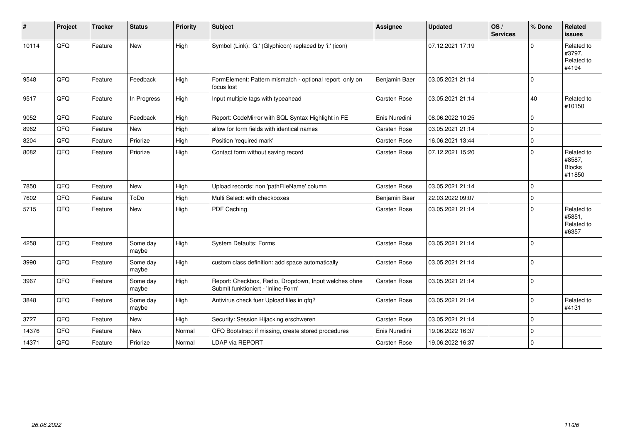| $\vert$ # | Project | <b>Tracker</b> | <b>Status</b>     | <b>Priority</b> | <b>Subject</b>                                                                               | <b>Assignee</b> | <b>Updated</b>   | OS/<br><b>Services</b> | % Done      | Related<br>issues                               |
|-----------|---------|----------------|-------------------|-----------------|----------------------------------------------------------------------------------------------|-----------------|------------------|------------------------|-------------|-------------------------------------------------|
| 10114     | QFQ     | Feature        | <b>New</b>        | High            | Symbol (Link): 'G:' (Glyphicon) replaced by 'i:' (icon)                                      |                 | 07.12.2021 17:19 |                        | $\Omega$    | Related to<br>#3797,<br>Related to<br>#4194     |
| 9548      | QFQ     | Feature        | Feedback          | High            | FormElement: Pattern mismatch - optional report only on<br>focus lost                        | Benjamin Baer   | 03.05.2021 21:14 |                        | $\Omega$    |                                                 |
| 9517      | QFQ     | Feature        | In Progress       | High            | Input multiple tags with typeahead                                                           | Carsten Rose    | 03.05.2021 21:14 |                        | 40          | Related to<br>#10150                            |
| 9052      | QFQ     | Feature        | Feedback          | High            | Report: CodeMirror with SQL Syntax Highlight in FE                                           | Enis Nuredini   | 08.06.2022 10:25 |                        | $\Omega$    |                                                 |
| 8962      | QFQ     | Feature        | <b>New</b>        | High            | allow for form fields with identical names                                                   | Carsten Rose    | 03.05.2021 21:14 |                        | $\Omega$    |                                                 |
| 8204      | QFQ     | Feature        | Priorize          | High            | Position 'required mark'                                                                     | Carsten Rose    | 16.06.2021 13:44 |                        | $\mathbf 0$ |                                                 |
| 8082      | QFQ     | Feature        | Priorize          | High            | Contact form without saving record                                                           | Carsten Rose    | 07.12.2021 15:20 |                        | $\Omega$    | Related to<br>#8587,<br><b>Blocks</b><br>#11850 |
| 7850      | QFQ     | Feature        | New               | High            | Upload records: non 'pathFileName' column                                                    | Carsten Rose    | 03.05.2021 21:14 |                        | $\Omega$    |                                                 |
| 7602      | QFQ     | Feature        | ToDo              | High            | Multi Select: with checkboxes                                                                | Benjamin Baer   | 22.03.2022 09:07 |                        | $\Omega$    |                                                 |
| 5715      | QFQ     | Feature        | New               | High            | PDF Caching                                                                                  | Carsten Rose    | 03.05.2021 21:14 |                        | $\Omega$    | Related to<br>#5851,<br>Related to<br>#6357     |
| 4258      | QFQ     | Feature        | Some day<br>maybe | High            | <b>System Defaults: Forms</b>                                                                | Carsten Rose    | 03.05.2021 21:14 |                        | $\Omega$    |                                                 |
| 3990      | QFQ     | Feature        | Some day<br>maybe | High            | custom class definition: add space automatically                                             | Carsten Rose    | 03.05.2021 21:14 |                        | $\Omega$    |                                                 |
| 3967      | QFQ     | Feature        | Some day<br>maybe | High            | Report: Checkbox, Radio, Dropdown, Input welches ohne<br>Submit funktioniert - 'Inline-Form' | Carsten Rose    | 03.05.2021 21:14 |                        | $\Omega$    |                                                 |
| 3848      | QFQ     | Feature        | Some day<br>maybe | High            | Antivirus check fuer Upload files in qfq?                                                    | Carsten Rose    | 03.05.2021 21:14 |                        | $\mathbf 0$ | Related to<br>#4131                             |
| 3727      | QFQ     | Feature        | <b>New</b>        | High            | Security: Session Hijacking erschweren                                                       | Carsten Rose    | 03.05.2021 21:14 |                        | $\Omega$    |                                                 |
| 14376     | QFQ     | Feature        | <b>New</b>        | Normal          | QFQ Bootstrap: if missing, create stored procedures                                          | Enis Nuredini   | 19.06.2022 16:37 |                        | $\Omega$    |                                                 |
| 14371     | QFQ     | Feature        | Priorize          | Normal          | LDAP via REPORT                                                                              | Carsten Rose    | 19.06.2022 16:37 |                        | $\Omega$    |                                                 |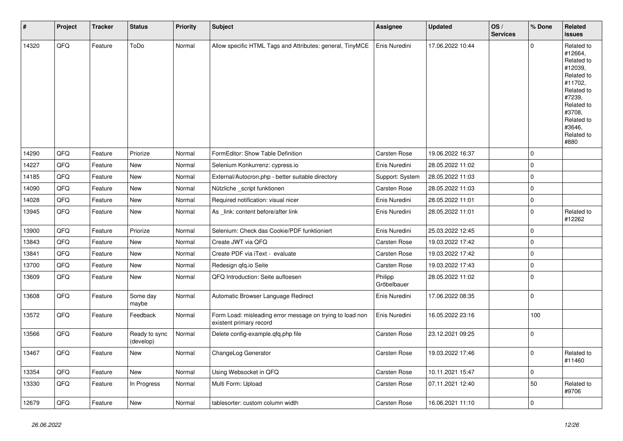| $\vert$ # | Project | <b>Tracker</b> | <b>Status</b>              | <b>Priority</b> | <b>Subject</b>                                                                       | <b>Assignee</b>        | <b>Updated</b>   | OS/<br><b>Services</b> | % Done              | <b>Related</b><br><b>issues</b>                                                                                                                                       |
|-----------|---------|----------------|----------------------------|-----------------|--------------------------------------------------------------------------------------|------------------------|------------------|------------------------|---------------------|-----------------------------------------------------------------------------------------------------------------------------------------------------------------------|
| 14320     | QFQ     | Feature        | ToDo                       | Normal          | Allow specific HTML Tags and Attributes: general, TinyMCE                            | Enis Nuredini          | 17.06.2022 10:44 |                        | $\mathbf 0$         | Related to<br>#12664,<br>Related to<br>#12039,<br>Related to<br>#11702,<br>Related to<br>#7239,<br>Related to<br>#3708,<br>Related to<br>#3646.<br>Related to<br>#880 |
| 14290     | QFQ     | Feature        | Priorize                   | Normal          | FormEditor: Show Table Definition                                                    | <b>Carsten Rose</b>    | 19.06.2022 16:37 |                        | $\mathbf 0$         |                                                                                                                                                                       |
| 14227     | QFQ     | Feature        | <b>New</b>                 | Normal          | Selenium Konkurrenz: cypress.io                                                      | Enis Nuredini          | 28.05.2022 11:02 |                        | $\mathbf 0$         |                                                                                                                                                                       |
| 14185     | QFQ     | Feature        | New                        | Normal          | External/Autocron.php - better suitable directory                                    | Support: System        | 28.05.2022 11:03 |                        | $\mathbf 0$         |                                                                                                                                                                       |
| 14090     | QFQ     | Feature        | <b>New</b>                 | Normal          | Nützliche _script funktionen                                                         | <b>Carsten Rose</b>    | 28.05.2022 11:03 |                        | $\mathsf 0$         |                                                                                                                                                                       |
| 14028     | QFQ     | Feature        | <b>New</b>                 | Normal          | Required notification: visual nicer                                                  | Enis Nuredini          | 28.05.2022 11:01 |                        | $\mathsf{O}\xspace$ |                                                                                                                                                                       |
| 13945     | QFQ     | Feature        | New                        | Normal          | As link: content before/after link                                                   | Enis Nuredini          | 28.05.2022 11:01 |                        | $\mathbf 0$         | Related to<br>#12262                                                                                                                                                  |
| 13900     | QFQ     | Feature        | Priorize                   | Normal          | Selenium: Check das Cookie/PDF funktioniert                                          | Enis Nuredini          | 25.03.2022 12:45 |                        | $\mathbf 0$         |                                                                                                                                                                       |
| 13843     | QFQ     | Feature        | New                        | Normal          | Create JWT via QFQ                                                                   | Carsten Rose           | 19.03.2022 17:42 |                        | $\mathbf 0$         |                                                                                                                                                                       |
| 13841     | QFQ     | Feature        | New                        | Normal          | Create PDF via iText - evaluate                                                      | Carsten Rose           | 19.03.2022 17:42 |                        | $\mathbf 0$         |                                                                                                                                                                       |
| 13700     | QFQ     | Feature        | New                        | Normal          | Redesign qfq.io Seite                                                                | Carsten Rose           | 19.03.2022 17:43 |                        | $\mathsf 0$         |                                                                                                                                                                       |
| 13609     | QFQ     | Feature        | New                        | Normal          | QFQ Introduction: Seite aufloesen                                                    | Philipp<br>Gröbelbauer | 28.05.2022 11:02 |                        | $\mathbf 0$         |                                                                                                                                                                       |
| 13608     | QFQ     | Feature        | Some day<br>maybe          | Normal          | Automatic Browser Language Redirect                                                  | Enis Nuredini          | 17.06.2022 08:35 |                        | $\mathbf 0$         |                                                                                                                                                                       |
| 13572     | QFQ     | Feature        | Feedback                   | Normal          | Form Load: misleading error message on trying to load non<br>existent primary record | Enis Nuredini          | 16.05.2022 23:16 |                        | 100                 |                                                                                                                                                                       |
| 13566     | QFQ     | Feature        | Ready to sync<br>(develop) | Normal          | Delete config-example.qfq.php file                                                   | Carsten Rose           | 23.12.2021 09:25 |                        | $\mathbf 0$         |                                                                                                                                                                       |
| 13467     | QFQ     | Feature        | <b>New</b>                 | Normal          | ChangeLog Generator                                                                  | Carsten Rose           | 19.03.2022 17:46 |                        | $\mathbf 0$         | Related to<br>#11460                                                                                                                                                  |
| 13354     | QFQ     | Feature        | <b>New</b>                 | Normal          | Using Websocket in QFQ                                                               | <b>Carsten Rose</b>    | 10.11.2021 15:47 |                        | $\mathsf 0$         |                                                                                                                                                                       |
| 13330     | QFQ     | Feature        | In Progress                | Normal          | Multi Form: Upload                                                                   | Carsten Rose           | 07.11.2021 12:40 |                        | 50                  | Related to<br>#9706                                                                                                                                                   |
| 12679     | QFQ     | Feature        | New                        | Normal          | tablesorter: custom column width                                                     | <b>Carsten Rose</b>    | 16.06.2021 11:10 |                        | $\mathbf 0$         |                                                                                                                                                                       |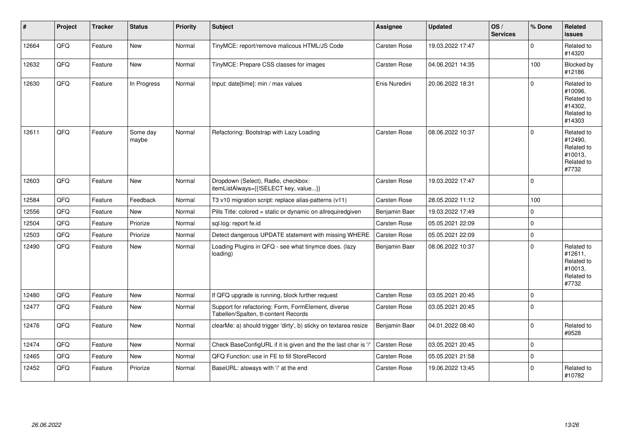| #     | Project | <b>Tracker</b> | <b>Status</b>     | <b>Priority</b> | <b>Subject</b>                                                                              | Assignee            | <b>Updated</b>   | OS/<br><b>Services</b> | % Done      | Related<br><b>issues</b>                                               |
|-------|---------|----------------|-------------------|-----------------|---------------------------------------------------------------------------------------------|---------------------|------------------|------------------------|-------------|------------------------------------------------------------------------|
| 12664 | QFQ     | Feature        | New               | Normal          | TinyMCE: report/remove malicous HTML/JS Code                                                | Carsten Rose        | 19.03.2022 17:47 |                        | $\Omega$    | Related to<br>#14320                                                   |
| 12632 | QFQ     | Feature        | New               | Normal          | TinyMCE: Prepare CSS classes for images                                                     | Carsten Rose        | 04.06.2021 14:35 |                        | 100         | Blocked by<br>#12186                                                   |
| 12630 | QFQ     | Feature        | In Progress       | Normal          | Input: date[time]: min / max values                                                         | Enis Nuredini       | 20.06.2022 18:31 |                        | $\mathbf 0$ | Related to<br>#10096,<br>Related to<br>#14302.<br>Related to<br>#14303 |
| 12611 | QFQ     | Feature        | Some day<br>maybe | Normal          | Refactoring: Bootstrap with Lazy Loading                                                    | Carsten Rose        | 08.06.2022 10:37 |                        | $\Omega$    | Related to<br>#12490,<br>Related to<br>#10013,<br>Related to<br>#7732  |
| 12603 | QFQ     | Feature        | New               | Normal          | Dropdown (Select), Radio, checkbox:<br>itemListAlways={{!SELECT key, value}}                | Carsten Rose        | 19.03.2022 17:47 |                        | $\Omega$    |                                                                        |
| 12584 | QFQ     | Feature        | Feedback          | Normal          | T3 v10 migration script: replace alias-patterns (v11)                                       | Carsten Rose        | 28.05.2022 11:12 |                        | 100         |                                                                        |
| 12556 | QFQ     | Feature        | <b>New</b>        | Normal          | Pills Title: colored = static or dynamic on allrequiredgiven                                | Benjamin Baer       | 19.03.2022 17:49 |                        | $\mathbf 0$ |                                                                        |
| 12504 | QFQ     | Feature        | Priorize          | Normal          | sql.log: report fe.id                                                                       | <b>Carsten Rose</b> | 05.05.2021 22:09 |                        | $\mathbf 0$ |                                                                        |
| 12503 | QFQ     | Feature        | Priorize          | Normal          | Detect dangerous UPDATE statement with missing WHERE                                        | <b>Carsten Rose</b> | 05.05.2021 22:09 |                        | $\mathbf 0$ |                                                                        |
| 12490 | QFQ     | Feature        | New               | Normal          | Loading Plugins in QFQ - see what tinymce does. (lazy<br>loading)                           | Benjamin Baer       | 08.06.2022 10:37 |                        | $\Omega$    | Related to<br>#12611,<br>Related to<br>#10013,<br>Related to<br>#7732  |
| 12480 | QFQ     | Feature        | <b>New</b>        | Normal          | If QFQ upgrade is running, block further request                                            | Carsten Rose        | 03.05.2021 20:45 |                        | $\mathbf 0$ |                                                                        |
| 12477 | QFQ     | Feature        | New               | Normal          | Support for refactoring: Form, FormElement, diverse<br>Tabellen/Spalten, tt-content Records | Carsten Rose        | 03.05.2021 20:45 |                        | $\Omega$    |                                                                        |
| 12476 | QFQ     | Feature        | New               | Normal          | clearMe: a) should trigger 'dirty', b) sticky on textarea resize                            | Benjamin Baer       | 04.01.2022 08:40 |                        | $\Omega$    | Related to<br>#9528                                                    |
| 12474 | QFQ     | Feature        | <b>New</b>        | Normal          | Check BaseConfigURL if it is given and the the last char is '/'                             | <b>Carsten Rose</b> | 03.05.2021 20:45 |                        | $\Omega$    |                                                                        |
| 12465 | QFQ     | Feature        | New               | Normal          | QFQ Function: use in FE to fill StoreRecord                                                 | <b>Carsten Rose</b> | 05.05.2021 21:58 |                        | $\mathbf 0$ |                                                                        |
| 12452 | QFQ     | Feature        | Priorize          | Normal          | BaseURL: alsways with '/' at the end                                                        | <b>Carsten Rose</b> | 19.06.2022 13:45 |                        | $\Omega$    | Related to<br>#10782                                                   |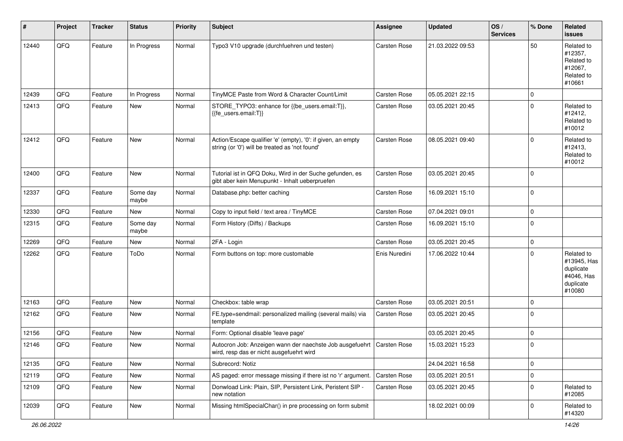| #     | Project | <b>Tracker</b> | <b>Status</b>     | <b>Priority</b> | <b>Subject</b>                                                                                                      | Assignee      | <b>Updated</b>   | OS/<br><b>Services</b> | % Done      | Related<br>issues                                                           |
|-------|---------|----------------|-------------------|-----------------|---------------------------------------------------------------------------------------------------------------------|---------------|------------------|------------------------|-------------|-----------------------------------------------------------------------------|
| 12440 | QFQ     | Feature        | In Progress       | Normal          | Typo3 V10 upgrade (durchfuehren und testen)                                                                         | Carsten Rose  | 21.03.2022 09:53 |                        | 50          | Related to<br>#12357,<br>Related to<br>#12067,<br>Related to<br>#10661      |
| 12439 | QFQ     | Feature        | In Progress       | Normal          | TinyMCE Paste from Word & Character Count/Limit                                                                     | Carsten Rose  | 05.05.2021 22:15 |                        | 0           |                                                                             |
| 12413 | QFQ     | Feature        | New               | Normal          | STORE_TYPO3: enhance for {{be_users.email:T}},<br>{{fe_users.email:T}}                                              | Carsten Rose  | 03.05.2021 20:45 |                        | $\mathbf 0$ | Related to<br>#12412,<br>Related to<br>#10012                               |
| 12412 | QFQ     | Feature        | New               | Normal          | Action/Escape qualifier 'e' (empty), '0': if given, an empty<br>string (or '0') will be treated as 'not found'      | Carsten Rose  | 08.05.2021 09:40 |                        | $\Omega$    | Related to<br>#12413,<br>Related to<br>#10012                               |
| 12400 | QFQ     | Feature        | <b>New</b>        | Normal          | Tutorial ist in QFQ Doku, Wird in der Suche gefunden, es<br>gibt aber kein Menupunkt - Inhalt ueberpruefen          | Carsten Rose  | 03.05.2021 20:45 |                        | $\Omega$    |                                                                             |
| 12337 | QFQ     | Feature        | Some day<br>maybe | Normal          | Database.php: better caching                                                                                        | Carsten Rose  | 16.09.2021 15:10 |                        | $\Omega$    |                                                                             |
| 12330 | QFQ     | Feature        | New               | Normal          | Copy to input field / text area / TinyMCE                                                                           | Carsten Rose  | 07.04.2021 09:01 |                        | $\mathbf 0$ |                                                                             |
| 12315 | QFQ     | Feature        | Some day<br>maybe | Normal          | Form History (Diffs) / Backups                                                                                      | Carsten Rose  | 16.09.2021 15:10 |                        | $\Omega$    |                                                                             |
| 12269 | QFQ     | Feature        | <b>New</b>        | Normal          | 2FA - Login                                                                                                         | Carsten Rose  | 03.05.2021 20:45 |                        | 0           |                                                                             |
| 12262 | QFQ     | Feature        | ToDo              | Normal          | Form buttons on top: more customable                                                                                | Enis Nuredini | 17.06.2022 10:44 |                        | $\Omega$    | Related to<br>#13945, Has<br>duplicate<br>#4046, Has<br>duplicate<br>#10080 |
| 12163 | QFQ     | Feature        | <b>New</b>        | Normal          | Checkbox: table wrap                                                                                                | Carsten Rose  | 03.05.2021 20:51 |                        | $\mathbf 0$ |                                                                             |
| 12162 | QFQ     | Feature        | New               | Normal          | FE.type=sendmail: personalized mailing (several mails) via<br>template                                              | Carsten Rose  | 03.05.2021 20:45 |                        | $\Omega$    |                                                                             |
| 12156 | QFQ     | Feature        | <b>New</b>        | Normal          | Form: Optional disable 'leave page'                                                                                 |               | 03.05.2021 20:45 |                        | 0           |                                                                             |
| 12146 | QFQ     | Feature        | New               | Normal          | Autocron Job: Anzeigen wann der naechste Job ausgefuehrt   Carsten Rose<br>wird, resp das er nicht ausgefuehrt wird |               | 15.03.2021 15:23 |                        | 0           |                                                                             |
| 12135 | QFQ     | Feature        | New               | Normal          | Subrecord: Notiz                                                                                                    |               | 24.04.2021 16:58 |                        | 0           |                                                                             |
| 12119 | QFQ     | Feature        | New               | Normal          | AS paged: error message missing if there ist no 'r' argument.                                                       | Carsten Rose  | 03.05.2021 20:51 |                        | 0           |                                                                             |
| 12109 | QFQ     | Feature        | New               | Normal          | Donwload Link: Plain, SIP, Persistent Link, Peristent SIP -<br>new notation                                         | Carsten Rose  | 03.05.2021 20:45 |                        | 0           | Related to<br>#12085                                                        |
| 12039 | QFQ     | Feature        | New               | Normal          | Missing htmlSpecialChar() in pre processing on form submit                                                          |               | 18.02.2021 00:09 |                        | 0           | Related to<br>#14320                                                        |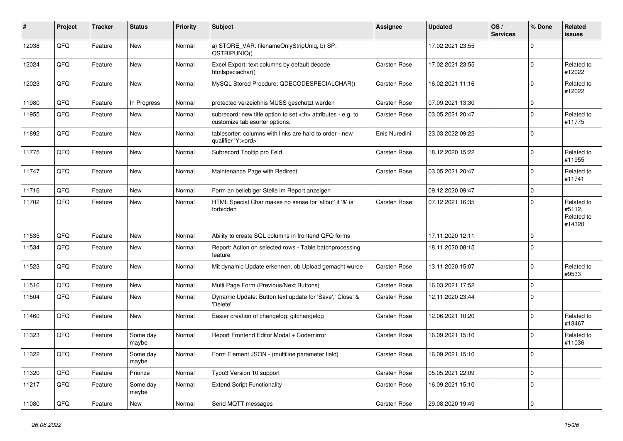| #     | Project | <b>Tracker</b> | <b>Status</b>     | <b>Priority</b> | Subject                                                                                              | Assignee                                               | <b>Updated</b>   | OS/<br><b>Services</b> | % Done      | <b>Related</b><br>issues                     |                      |
|-------|---------|----------------|-------------------|-----------------|------------------------------------------------------------------------------------------------------|--------------------------------------------------------|------------------|------------------------|-------------|----------------------------------------------|----------------------|
| 12038 | QFQ     | Feature        | New               | Normal          | a) STORE_VAR: filenameOnlyStripUniq, b) SP:<br>QSTRIPUNIQ()                                          |                                                        | 17.02.2021 23:55 |                        | $\Omega$    |                                              |                      |
| 12024 | QFQ     | Feature        | New               | Normal          | Excel Export: text columns by default decode<br>htmlspeciachar()                                     | Carsten Rose                                           | 17.02.2021 23:55 |                        | $\mathbf 0$ | Related to<br>#12022                         |                      |
| 12023 | QFQ     | Feature        | <b>New</b>        | Normal          | MySQL Stored Precdure: QDECODESPECIALCHAR()                                                          | Carsten Rose                                           | 16.02.2021 11:16 |                        | $\Omega$    | Related to<br>#12022                         |                      |
| 11980 | QFQ     | Feature        | In Progress       | Normal          | protected verzeichnis MUSS geschützt werden                                                          | Carsten Rose                                           | 07.09.2021 13:30 |                        | $\mathbf 0$ |                                              |                      |
| 11955 | QFQ     | Feature        | New               | Normal          | subrecord: new title option to set <th> attributes - e.g. to<br/>customize tablesorter options.</th> | attributes - e.g. to<br>customize tablesorter options. | Carsten Rose     | 03.05.2021 20:47       |             | $\Omega$                                     | Related to<br>#11775 |
| 11892 | QFQ     | Feature        | New               | Normal          | tablesorter: columns with links are hard to order - new<br>qualifier 'Y: <ord>'</ord>                | Enis Nuredini                                          | 23.03.2022 09:22 |                        | $\Omega$    |                                              |                      |
| 11775 | QFQ     | Feature        | <b>New</b>        | Normal          | Subrecord Tooltip pro Feld                                                                           | Carsten Rose                                           | 18.12.2020 15:22 |                        | $\Omega$    | Related to<br>#11955                         |                      |
| 11747 | QFQ     | Feature        | New               | Normal          | Maintenance Page with Redirect                                                                       | Carsten Rose                                           | 03.05.2021 20:47 |                        | $\mathbf 0$ | Related to<br>#11741                         |                      |
| 11716 | QFQ     | Feature        | New               | Normal          | Form an beliebiger Stelle im Report anzeigen                                                         |                                                        | 09.12.2020 09:47 |                        | $\Omega$    |                                              |                      |
| 11702 | QFQ     | Feature        | <b>New</b>        | Normal          | HTML Special Char makes no sense for 'allbut' if '&' is<br>forbidden                                 | Carsten Rose                                           | 07.12.2021 16:35 |                        | $\Omega$    | Related to<br>#5112,<br>Related to<br>#14320 |                      |
| 11535 | QFQ     | Feature        | New               | Normal          | Ability to create SQL columns in frontend QFQ forms                                                  |                                                        | 17.11.2020 12:11 |                        | $\mathbf 0$ |                                              |                      |
| 11534 | QFQ     | Feature        | New               | Normal          | Report: Action on selected rows - Table batchprocessing<br>feature                                   |                                                        | 18.11.2020 08:15 |                        | $\Omega$    |                                              |                      |
| 11523 | QFQ     | Feature        | New               | Normal          | Mit dynamic Update erkennen, ob Upload gemacht wurde                                                 | Carsten Rose                                           | 13.11.2020 15:07 |                        | $\mathbf 0$ | Related to<br>#9533                          |                      |
| 11516 | QFQ     | Feature        | New               | Normal          | Multi Page Form (Previous/Next Buttons)                                                              | Carsten Rose                                           | 16.03.2021 17:52 |                        | $\Omega$    |                                              |                      |
| 11504 | QFQ     | Feature        | <b>New</b>        | Normal          | Dynamic Update: Button text update for 'Save',' Close' &<br>'Delete'                                 | Carsten Rose                                           | 12.11.2020 23:44 |                        | $\Omega$    |                                              |                      |
| 11460 | QFQ     | Feature        | New               | Normal          | Easier creation of changelog: gitchangelog                                                           | Carsten Rose                                           | 12.06.2021 10:20 |                        | $\mathbf 0$ | Related to<br>#13467                         |                      |
| 11323 | QFQ     | Feature        | Some day<br>maybe | Normal          | Report Frontend Editor Modal + Codemirror                                                            | Carsten Rose                                           | 16.09.2021 15:10 |                        | $\mathbf 0$ | Related to<br>#11036                         |                      |
| 11322 | QFQ     | I Feature      | Some day<br>maybe | Normal          | Form Element JSON - (multiline parameter field)                                                      | Carsten Rose                                           | 16.09.2021 15:10 |                        | $\mathbf 0$ |                                              |                      |
| 11320 | QFQ     | Feature        | Priorize          | Normal          | Typo3 Version 10 support                                                                             | Carsten Rose                                           | 05.05.2021 22:09 |                        | $\mathbf 0$ |                                              |                      |
| 11217 | QFQ     | Feature        | Some day<br>maybe | Normal          | <b>Extend Script Functionality</b>                                                                   | Carsten Rose                                           | 16.09.2021 15:10 |                        | $\mathbf 0$ |                                              |                      |
| 11080 | QFG     | Feature        | New               | Normal          | Send MQTT messages                                                                                   | Carsten Rose                                           | 29.08.2020 19:49 |                        | $\mathbf 0$ |                                              |                      |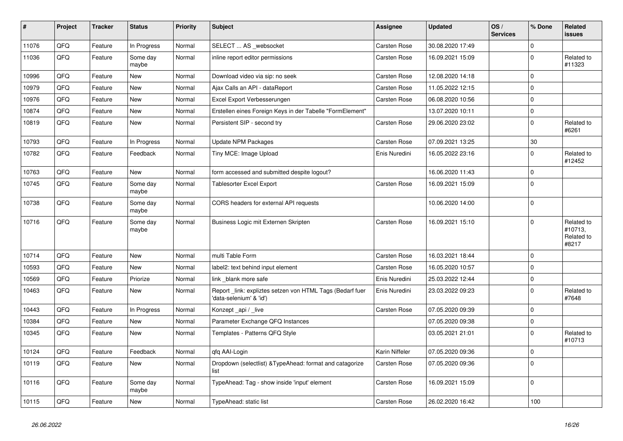| $\vert$ # | Project | <b>Tracker</b> | <b>Status</b>     | <b>Priority</b> | <b>Subject</b>                                                                      | Assignee            | <b>Updated</b>   | OS/<br><b>Services</b> | % Done       | <b>Related</b><br><b>issues</b>              |
|-----------|---------|----------------|-------------------|-----------------|-------------------------------------------------------------------------------------|---------------------|------------------|------------------------|--------------|----------------------------------------------|
| 11076     | QFQ     | Feature        | In Progress       | Normal          | SELECT  AS _websocket                                                               | Carsten Rose        | 30.08.2020 17:49 |                        | $\Omega$     |                                              |
| 11036     | QFQ     | Feature        | Some day<br>maybe | Normal          | inline report editor permissions                                                    | <b>Carsten Rose</b> | 16.09.2021 15:09 |                        | $\mathbf 0$  | Related to<br>#11323                         |
| 10996     | QFQ     | Feature        | <b>New</b>        | Normal          | Download video via sip: no seek                                                     | Carsten Rose        | 12.08.2020 14:18 |                        | $\mathbf 0$  |                                              |
| 10979     | QFQ     | Feature        | <b>New</b>        | Normal          | Ajax Calls an API - dataReport                                                      | Carsten Rose        | 11.05.2022 12:15 |                        | $\mathbf 0$  |                                              |
| 10976     | QFQ     | Feature        | <b>New</b>        | Normal          | Excel Export Verbesserungen                                                         | Carsten Rose        | 06.08.2020 10:56 |                        | $\mathbf 0$  |                                              |
| 10874     | QFQ     | Feature        | New               | Normal          | Erstellen eines Foreign Keys in der Tabelle "FormElement"                           |                     | 13.07.2020 10:11 |                        | $\mathsf 0$  |                                              |
| 10819     | QFQ     | Feature        | <b>New</b>        | Normal          | Persistent SIP - second try                                                         | <b>Carsten Rose</b> | 29.06.2020 23:02 |                        | $\mathbf 0$  | Related to<br>#6261                          |
| 10793     | QFQ     | Feature        | In Progress       | Normal          | Update NPM Packages                                                                 | Carsten Rose        | 07.09.2021 13:25 |                        | 30           |                                              |
| 10782     | QFQ     | Feature        | Feedback          | Normal          | Tiny MCE: Image Upload                                                              | Enis Nuredini       | 16.05.2022 23:16 |                        | $\mathbf 0$  | Related to<br>#12452                         |
| 10763     | QFQ     | Feature        | <b>New</b>        | Normal          | form accessed and submitted despite logout?                                         |                     | 16.06.2020 11:43 |                        | $\mathsf 0$  |                                              |
| 10745     | QFQ     | Feature        | Some day<br>maybe | Normal          | <b>Tablesorter Excel Export</b>                                                     | Carsten Rose        | 16.09.2021 15:09 |                        | $\mathbf 0$  |                                              |
| 10738     | QFQ     | Feature        | Some day<br>maybe | Normal          | CORS headers for external API requests                                              |                     | 10.06.2020 14:00 |                        | $\mathsf 0$  |                                              |
| 10716     | QFQ     | Feature        | Some day<br>maybe | Normal          | Business Logic mit Externen Skripten                                                | Carsten Rose        | 16.09.2021 15:10 |                        | $\mathbf 0$  | Related to<br>#10713.<br>Related to<br>#8217 |
| 10714     | QFQ     | Feature        | <b>New</b>        | Normal          | multi Table Form                                                                    | <b>Carsten Rose</b> | 16.03.2021 18:44 |                        | $\mathbf{0}$ |                                              |
| 10593     | QFQ     | Feature        | <b>New</b>        | Normal          | label2: text behind input element                                                   | <b>Carsten Rose</b> | 16.05.2020 10:57 |                        | $\mathbf 0$  |                                              |
| 10569     | QFQ     | Feature        | Priorize          | Normal          | link blank more safe                                                                | Enis Nuredini       | 25.03.2022 12:44 |                        | $\mathbf 0$  |                                              |
| 10463     | QFQ     | Feature        | New               | Normal          | Report link: expliztes setzen von HTML Tags (Bedarf fuer<br>'data-selenium' & 'id') | Enis Nuredini       | 23.03.2022 09:23 |                        | $\mathbf 0$  | Related to<br>#7648                          |
| 10443     | QFQ     | Feature        | In Progress       | Normal          | Konzept_api / _live                                                                 | Carsten Rose        | 07.05.2020 09:39 |                        | $\mathsf 0$  |                                              |
| 10384     | QFQ     | Feature        | New               | Normal          | Parameter Exchange QFQ Instances                                                    |                     | 07.05.2020 09:38 |                        | $\mathbf 0$  |                                              |
| 10345     | QFQ     | Feature        | New               | Normal          | Templates - Patterns QFQ Style                                                      |                     | 03.05.2021 21:01 |                        | $\mathbf 0$  | Related to<br>#10713                         |
| 10124     | QFQ     | Feature        | Feedback          | Normal          | qfq AAI-Login                                                                       | Karin Niffeler      | 07.05.2020 09:36 |                        | $\mathsf 0$  |                                              |
| 10119     | QFQ     | Feature        | New               | Normal          | Dropdown (selectlist) & Type Ahead: format and catagorize<br>list                   | Carsten Rose        | 07.05.2020 09:36 |                        | $\pmb{0}$    |                                              |
| 10116     | QFQ     | Feature        | Some day<br>maybe | Normal          | TypeAhead: Tag - show inside 'input' element                                        | Carsten Rose        | 16.09.2021 15:09 |                        | $\mathbf 0$  |                                              |
| 10115     | QFQ     | Feature        | New               | Normal          | TypeAhead: static list                                                              | <b>Carsten Rose</b> | 26.02.2020 16:42 |                        | 100          |                                              |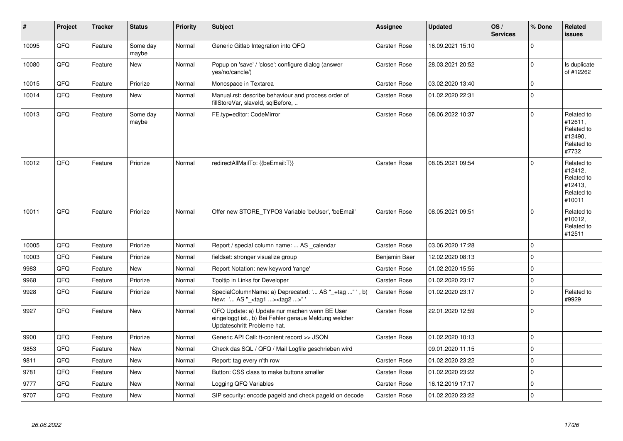| #     | Project | <b>Tracker</b> | <b>Status</b>     | <b>Priority</b> | <b>Subject</b>                                                                                                                        | Assignee            | <b>Updated</b>   | OS/<br><b>Services</b> | % Done      | Related<br><b>issues</b>                                               |
|-------|---------|----------------|-------------------|-----------------|---------------------------------------------------------------------------------------------------------------------------------------|---------------------|------------------|------------------------|-------------|------------------------------------------------------------------------|
| 10095 | QFQ     | Feature        | Some day<br>maybe | Normal          | Generic Gitlab Integration into QFQ                                                                                                   | Carsten Rose        | 16.09.2021 15:10 |                        | $\mathbf 0$ |                                                                        |
| 10080 | QFQ     | Feature        | New               | Normal          | Popup on 'save' / 'close': configure dialog (answer<br>yes/no/cancle/)                                                                | <b>Carsten Rose</b> | 28.03.2021 20:52 |                        | $\mathbf 0$ | Is duplicate<br>of #12262                                              |
| 10015 | QFQ     | Feature        | Priorize          | Normal          | Monospace in Textarea                                                                                                                 | Carsten Rose        | 03.02.2020 13:40 |                        | $\pmb{0}$   |                                                                        |
| 10014 | QFQ     | Feature        | New               | Normal          | Manual.rst: describe behaviour and process order of<br>fillStoreVar, slaveId, sqlBefore,                                              | Carsten Rose        | 01.02.2020 22:31 |                        | $\mathbf 0$ |                                                                        |
| 10013 | QFQ     | Feature        | Some day<br>maybe | Normal          | FE.typ=editor: CodeMirror                                                                                                             | Carsten Rose        | 08.06.2022 10:37 |                        | $\pmb{0}$   | Related to<br>#12611.<br>Related to<br>#12490.<br>Related to<br>#7732  |
| 10012 | QFQ     | Feature        | Priorize          | Normal          | redirectAllMailTo: {{beEmail:T}}                                                                                                      | Carsten Rose        | 08.05.2021 09:54 |                        | $\mathbf 0$ | Related to<br>#12412.<br>Related to<br>#12413.<br>Related to<br>#10011 |
| 10011 | QFQ     | Feature        | Priorize          | Normal          | Offer new STORE TYPO3 Variable 'beUser', 'beEmail'                                                                                    | <b>Carsten Rose</b> | 08.05.2021 09:51 |                        | $\pmb{0}$   | Related to<br>#10012.<br>Related to<br>#12511                          |
| 10005 | QFQ     | Feature        | Priorize          | Normal          | Report / special column name:  AS _calendar                                                                                           | Carsten Rose        | 03.06.2020 17:28 |                        | $\mathbf 0$ |                                                                        |
| 10003 | QFQ     | Feature        | Priorize          | Normal          | fieldset: stronger visualize group                                                                                                    | Benjamin Baer       | 12.02.2020 08:13 |                        | $\pmb{0}$   |                                                                        |
| 9983  | QFQ     | Feature        | <b>New</b>        | Normal          | Report Notation: new keyword 'range'                                                                                                  | <b>Carsten Rose</b> | 01.02.2020 15:55 |                        | $\mathbf 0$ |                                                                        |
| 9968  | QFQ     | Feature        | Priorize          | Normal          | Tooltip in Links for Developer                                                                                                        | <b>Carsten Rose</b> | 01.02.2020 23:17 |                        | $\mathbf 0$ |                                                                        |
| 9928  | QFQ     | Feature        | Priorize          | Normal          | SpecialColumnName: a) Deprecated: ' AS "_+tag " ', b)<br>New: ' AS "_ <tag1><tag2>"'</tag2></tag1>                                    | Carsten Rose        | 01.02.2020 23:17 |                        | $\mathbf 0$ | Related to<br>#9929                                                    |
| 9927  | QFQ     | Feature        | <b>New</b>        | Normal          | QFQ Update: a) Update nur machen wenn BE User<br>eingeloggt ist., b) Bei Fehler genaue Meldung welcher<br>Updateschritt Probleme hat. | Carsten Rose        | 22.01.2020 12:59 |                        | $\mathbf 0$ |                                                                        |
| 9900  | QFQ     | Feature        | Priorize          | Normal          | Generic API Call: tt-content record >> JSON                                                                                           | <b>Carsten Rose</b> | 01.02.2020 10:13 |                        | $\mathbf 0$ |                                                                        |
| 9853  | QFQ     | Feature        | <b>New</b>        | Normal          | Check das SQL / QFQ / Mail Logfile geschrieben wird                                                                                   |                     | 09.01.2020 11:15 |                        | $\pmb{0}$   |                                                                        |
| 9811  | QFQ     | Feature        | New               | Normal          | Report: tag every n'th row                                                                                                            | Carsten Rose        | 01.02.2020 23:22 |                        | $\pmb{0}$   |                                                                        |
| 9781  | QFQ     | Feature        | New               | Normal          | Button: CSS class to make buttons smaller                                                                                             | <b>Carsten Rose</b> | 01.02.2020 23:22 |                        | $\mathbf 0$ |                                                                        |
| 9777  | QFQ     | Feature        | <b>New</b>        | Normal          | Logging QFQ Variables                                                                                                                 | <b>Carsten Rose</b> | 16.12.2019 17:17 |                        | $\mathbf 0$ |                                                                        |
| 9707  | QFQ     | Feature        | New               | Normal          | SIP security: encode pageld and check pageld on decode                                                                                | Carsten Rose        | 01.02.2020 23:22 |                        | $\mathbf 0$ |                                                                        |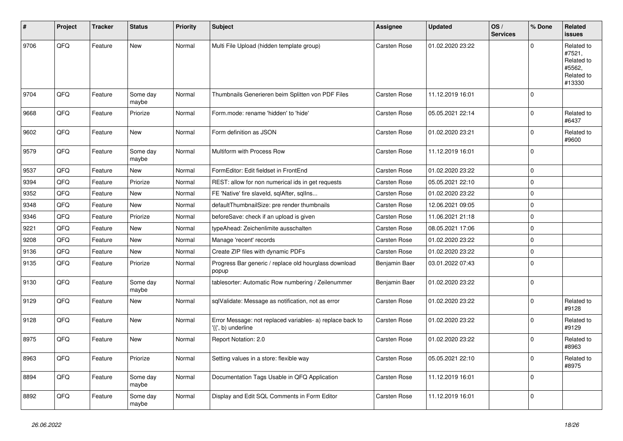| #    | Project | <b>Tracker</b> | <b>Status</b>     | <b>Priority</b> | <b>Subject</b>                                                                 | <b>Assignee</b>     | <b>Updated</b>   | OS/<br><b>Services</b> | % Done      | Related<br><b>issues</b>                                             |
|------|---------|----------------|-------------------|-----------------|--------------------------------------------------------------------------------|---------------------|------------------|------------------------|-------------|----------------------------------------------------------------------|
| 9706 | QFQ     | Feature        | <b>New</b>        | Normal          | Multi File Upload (hidden template group)                                      | <b>Carsten Rose</b> | 01.02.2020 23:22 |                        | $\mathbf 0$ | Related to<br>#7521,<br>Related to<br>#5562,<br>Related to<br>#13330 |
| 9704 | QFQ     | Feature        | Some day<br>maybe | Normal          | Thumbnails Generieren beim Splitten von PDF Files                              | Carsten Rose        | 11.12.2019 16:01 |                        | $\mathbf 0$ |                                                                      |
| 9668 | QFQ     | Feature        | Priorize          | Normal          | Form.mode: rename 'hidden' to 'hide'                                           | <b>Carsten Rose</b> | 05.05.2021 22:14 |                        | $\mathbf 0$ | Related to<br>#6437                                                  |
| 9602 | QFQ     | Feature        | New               | Normal          | Form definition as JSON                                                        | Carsten Rose        | 01.02.2020 23:21 |                        | $\mathbf 0$ | Related to<br>#9600                                                  |
| 9579 | QFQ     | Feature        | Some day<br>maybe | Normal          | Multiform with Process Row                                                     | <b>Carsten Rose</b> | 11.12.2019 16:01 |                        | $\mathbf 0$ |                                                                      |
| 9537 | QFQ     | Feature        | New               | Normal          | FormEditor: Edit fieldset in FrontEnd                                          | <b>Carsten Rose</b> | 01.02.2020 23:22 |                        | $\mathbf 0$ |                                                                      |
| 9394 | QFQ     | Feature        | Priorize          | Normal          | REST: allow for non numerical ids in get requests                              | Carsten Rose        | 05.05.2021 22:10 |                        | $\mathbf 0$ |                                                                      |
| 9352 | QFQ     | Feature        | New               | Normal          | FE 'Native' fire slaveld, sqlAfter, sqlIns                                     | Carsten Rose        | 01.02.2020 23:22 |                        | $\mathbf 0$ |                                                                      |
| 9348 | QFQ     | Feature        | <b>New</b>        | Normal          | defaultThumbnailSize: pre render thumbnails                                    | Carsten Rose        | 12.06.2021 09:05 |                        | $\pmb{0}$   |                                                                      |
| 9346 | QFQ     | Feature        | Priorize          | Normal          | beforeSave: check if an upload is given                                        | Carsten Rose        | 11.06.2021 21:18 |                        | $\mathbf 0$ |                                                                      |
| 9221 | QFQ     | Feature        | <b>New</b>        | Normal          | typeAhead: Zeichenlimite ausschalten                                           | Carsten Rose        | 08.05.2021 17:06 |                        | $\mathbf 0$ |                                                                      |
| 9208 | QFQ     | Feature        | <b>New</b>        | Normal          | Manage 'recent' records                                                        | Carsten Rose        | 01.02.2020 23:22 |                        | $\pmb{0}$   |                                                                      |
| 9136 | QFQ     | Feature        | <b>New</b>        | Normal          | Create ZIP files with dynamic PDFs                                             | Carsten Rose        | 01.02.2020 23:22 |                        | $\pmb{0}$   |                                                                      |
| 9135 | QFQ     | Feature        | Priorize          | Normal          | Progress Bar generic / replace old hourglass download<br>popup                 | Benjamin Baer       | 03.01.2022 07:43 |                        | $\pmb{0}$   |                                                                      |
| 9130 | QFQ     | Feature        | Some day<br>maybe | Normal          | tablesorter: Automatic Row numbering / Zeilenummer                             | Benjamin Baer       | 01.02.2020 23:22 |                        | $\pmb{0}$   |                                                                      |
| 9129 | QFQ     | Feature        | <b>New</b>        | Normal          | sqlValidate: Message as notification, not as error                             | Carsten Rose        | 01.02.2020 23:22 |                        | $\Omega$    | Related to<br>#9128                                                  |
| 9128 | QFQ     | Feature        | <b>New</b>        | Normal          | Error Message: not replaced variables- a) replace back to<br>{{', b) underline | <b>Carsten Rose</b> | 01.02.2020 23:22 |                        | $\mathbf 0$ | Related to<br>#9129                                                  |
| 8975 | QFQ     | Feature        | <b>New</b>        | Normal          | Report Notation: 2.0                                                           | Carsten Rose        | 01.02.2020 23:22 |                        | $\pmb{0}$   | Related to<br>#8963                                                  |
| 8963 | QFQ     | Feature        | Priorize          | Normal          | Setting values in a store: flexible way                                        | Carsten Rose        | 05.05.2021 22:10 |                        | $\mathbf 0$ | Related to<br>#8975                                                  |
| 8894 | QFQ     | Feature        | Some day<br>maybe | Normal          | Documentation Tags Usable in QFQ Application                                   | <b>Carsten Rose</b> | 11.12.2019 16:01 |                        | $\mathbf 0$ |                                                                      |
| 8892 | QFQ     | Feature        | Some day<br>maybe | Normal          | Display and Edit SQL Comments in Form Editor                                   | <b>Carsten Rose</b> | 11.12.2019 16:01 |                        | $\mathbf 0$ |                                                                      |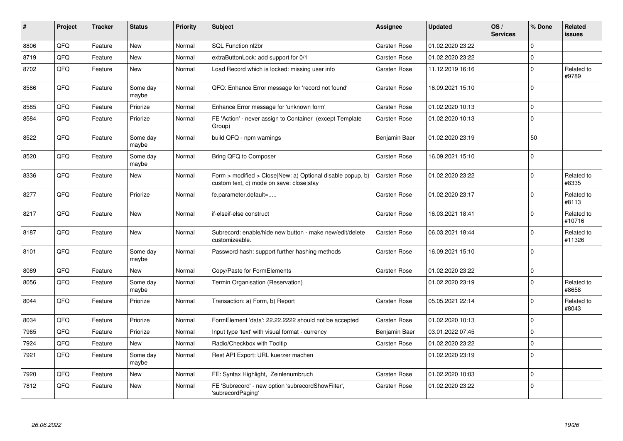| $\sharp$ | Project | <b>Tracker</b> | <b>Status</b>     | <b>Priority</b> | <b>Subject</b>                                                                                         | <b>Assignee</b>     | <b>Updated</b>   | OS/<br><b>Services</b> | % Done              | <b>Related</b><br><b>issues</b> |
|----------|---------|----------------|-------------------|-----------------|--------------------------------------------------------------------------------------------------------|---------------------|------------------|------------------------|---------------------|---------------------------------|
| 8806     | QFQ     | Feature        | <b>New</b>        | Normal          | SQL Function nl2br                                                                                     | Carsten Rose        | 01.02.2020 23:22 |                        | $\Omega$            |                                 |
| 8719     | QFQ     | Feature        | <b>New</b>        | Normal          | extraButtonLock: add support for 0/1                                                                   | Carsten Rose        | 01.02.2020 23:22 |                        | $\mathbf 0$         |                                 |
| 8702     | QFQ     | Feature        | <b>New</b>        | Normal          | Load Record which is locked: missing user info                                                         | Carsten Rose        | 11.12.2019 16:16 |                        | $\pmb{0}$           | Related to<br>#9789             |
| 8586     | QFQ     | Feature        | Some day<br>maybe | Normal          | QFQ: Enhance Error message for 'record not found'                                                      | Carsten Rose        | 16.09.2021 15:10 |                        | $\mathbf 0$         |                                 |
| 8585     | QFQ     | Feature        | Priorize          | Normal          | Enhance Error message for 'unknown form'                                                               | Carsten Rose        | 01.02.2020 10:13 |                        | $\mathbf 0$         |                                 |
| 8584     | QFQ     | Feature        | Priorize          | Normal          | FE 'Action' - never assign to Container (except Template<br>Group)                                     | <b>Carsten Rose</b> | 01.02.2020 10:13 |                        | $\mathbf 0$         |                                 |
| 8522     | QFQ     | Feature        | Some day<br>maybe | Normal          | build QFQ - npm warnings                                                                               | Benjamin Baer       | 01.02.2020 23:19 |                        | 50                  |                                 |
| 8520     | QFQ     | Feature        | Some day<br>maybe | Normal          | Bring QFQ to Composer                                                                                  | Carsten Rose        | 16.09.2021 15:10 |                        | $\mathbf 0$         |                                 |
| 8336     | QFQ     | Feature        | New               | Normal          | Form > modified > Close New: a) Optional disable popup, b)<br>custom text, c) mode on save: close stay | <b>Carsten Rose</b> | 01.02.2020 23:22 |                        | $\pmb{0}$           | Related to<br>#8335             |
| 8277     | QFQ     | Feature        | Priorize          | Normal          | fe.parameter.default=                                                                                  | Carsten Rose        | 01.02.2020 23:17 |                        | $\mathbf 0$         | Related to<br>#8113             |
| 8217     | QFQ     | Feature        | New               | Normal          | if-elseif-else construct                                                                               | Carsten Rose        | 16.03.2021 18:41 |                        | $\mathbf 0$         | Related to<br>#10716            |
| 8187     | QFQ     | Feature        | New               | Normal          | Subrecord: enable/hide new button - make new/edit/delete<br>customizeable.                             | Carsten Rose        | 06.03.2021 18:44 |                        | $\mathbf 0$         | Related to<br>#11326            |
| 8101     | QFQ     | Feature        | Some day<br>maybe | Normal          | Password hash: support further hashing methods                                                         | <b>Carsten Rose</b> | 16.09.2021 15:10 |                        | $\mathbf 0$         |                                 |
| 8089     | QFQ     | Feature        | New               | Normal          | Copy/Paste for FormElements                                                                            | <b>Carsten Rose</b> | 01.02.2020 23:22 |                        | $\mathsf 0$         |                                 |
| 8056     | QFQ     | Feature        | Some day<br>maybe | Normal          | Termin Organisation (Reservation)                                                                      |                     | 01.02.2020 23:19 |                        | $\mathbf 0$         | Related to<br>#8658             |
| 8044     | QFQ     | Feature        | Priorize          | Normal          | Transaction: a) Form, b) Report                                                                        | Carsten Rose        | 05.05.2021 22:14 |                        | $\mathsf 0$         | Related to<br>#8043             |
| 8034     | QFQ     | Feature        | Priorize          | Normal          | FormElement 'data': 22.22.2222 should not be accepted                                                  | <b>Carsten Rose</b> | 01.02.2020 10:13 |                        | $\mathbf 0$         |                                 |
| 7965     | QFQ     | Feature        | Priorize          | Normal          | Input type 'text' with visual format - currency                                                        | Benjamin Baer       | 03.01.2022 07:45 |                        | $\mathbf 0$         |                                 |
| 7924     | QFQ     | Feature        | <b>New</b>        | Normal          | Radio/Checkbox with Tooltip                                                                            | Carsten Rose        | 01.02.2020 23:22 |                        | $\mathsf{O}\xspace$ |                                 |
| 7921     | QFQ     | Feature        | Some day<br>maybe | Normal          | Rest API Export: URL kuerzer machen                                                                    |                     | 01.02.2020 23:19 |                        | $\mathbf 0$         |                                 |
| 7920     | QFQ     | Feature        | <b>New</b>        | Normal          | FE: Syntax Highlight, Zeinlenumbruch                                                                   | <b>Carsten Rose</b> | 01.02.2020 10:03 |                        | $\mathbf 0$         |                                 |
| 7812     | QFQ     | Feature        | New               | Normal          | FE 'Subrecord' - new option 'subrecordShowFilter',<br>'subrecordPaging'                                | <b>Carsten Rose</b> | 01.02.2020 23:22 |                        | $\pmb{0}$           |                                 |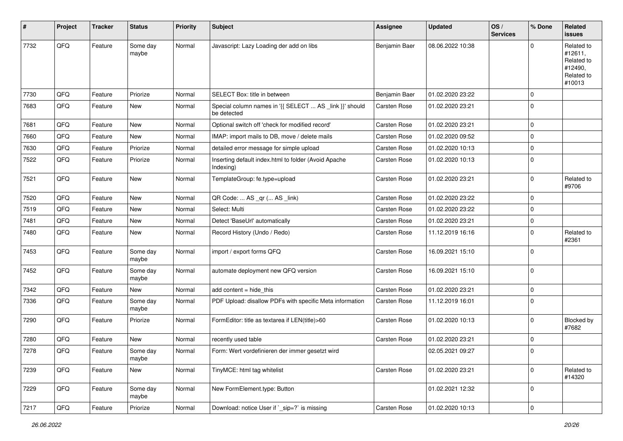| $\sharp$ | Project | <b>Tracker</b> | <b>Status</b>     | <b>Priority</b> | <b>Subject</b>                                                         | <b>Assignee</b>     | <b>Updated</b>   | OS/<br><b>Services</b> | % Done      | Related<br>issues                                                      |
|----------|---------|----------------|-------------------|-----------------|------------------------------------------------------------------------|---------------------|------------------|------------------------|-------------|------------------------------------------------------------------------|
| 7732     | QFQ     | Feature        | Some day<br>maybe | Normal          | Javascript: Lazy Loading der add on libs                               | Benjamin Baer       | 08.06.2022 10:38 |                        | $\Omega$    | Related to<br>#12611,<br>Related to<br>#12490,<br>Related to<br>#10013 |
| 7730     | QFQ     | Feature        | Priorize          | Normal          | SELECT Box: title in between                                           | Benjamin Baer       | 01.02.2020 23:22 |                        | $\mathbf 0$ |                                                                        |
| 7683     | QFQ     | Feature        | New               | Normal          | Special column names in '{{ SELECT  AS _link }}' should<br>be detected | Carsten Rose        | 01.02.2020 23:21 |                        | $\mathbf 0$ |                                                                        |
| 7681     | QFQ     | Feature        | <b>New</b>        | Normal          | Optional switch off 'check for modified record'                        | Carsten Rose        | 01.02.2020 23:21 |                        | $\mathbf 0$ |                                                                        |
| 7660     | QFQ     | Feature        | <b>New</b>        | Normal          | IMAP: import mails to DB, move / delete mails                          | Carsten Rose        | 01.02.2020 09:52 |                        | $\mathbf 0$ |                                                                        |
| 7630     | QFQ     | Feature        | Priorize          | Normal          | detailed error message for simple upload                               | <b>Carsten Rose</b> | 01.02.2020 10:13 |                        | $\mathbf 0$ |                                                                        |
| 7522     | QFQ     | Feature        | Priorize          | Normal          | Inserting default index.html to folder (Avoid Apache<br>Indexing)      | Carsten Rose        | 01.02.2020 10:13 |                        | $\mathbf 0$ |                                                                        |
| 7521     | QFQ     | Feature        | New               | Normal          | TemplateGroup: fe.type=upload                                          | Carsten Rose        | 01.02.2020 23:21 |                        | $\mathbf 0$ | Related to<br>#9706                                                    |
| 7520     | QFQ     | Feature        | New               | Normal          | QR Code:  AS _qr ( AS _link)                                           | Carsten Rose        | 01.02.2020 23:22 |                        | $\mathbf 0$ |                                                                        |
| 7519     | QFQ     | Feature        | New               | Normal          | Select: Multi                                                          | Carsten Rose        | 01.02.2020 23:22 |                        | $\mathbf 0$ |                                                                        |
| 7481     | QFQ     | Feature        | <b>New</b>        | Normal          | Detect 'BaseUrl' automatically                                         | Carsten Rose        | 01.02.2020 23:21 |                        | $\mathbf 0$ |                                                                        |
| 7480     | QFQ     | Feature        | New               | Normal          | Record History (Undo / Redo)                                           | <b>Carsten Rose</b> | 11.12.2019 16:16 |                        | $\mathbf 0$ | Related to<br>#2361                                                    |
| 7453     | QFQ     | Feature        | Some day<br>maybe | Normal          | import / export forms QFQ                                              | Carsten Rose        | 16.09.2021 15:10 |                        | $\mathbf 0$ |                                                                        |
| 7452     | QFQ     | Feature        | Some day<br>maybe | Normal          | automate deployment new QFQ version                                    | <b>Carsten Rose</b> | 16.09.2021 15:10 |                        | $\mathbf 0$ |                                                                        |
| 7342     | QFQ     | Feature        | New               | Normal          | add content $=$ hide this                                              | <b>Carsten Rose</b> | 01.02.2020 23:21 |                        | $\mathbf 0$ |                                                                        |
| 7336     | QFQ     | Feature        | Some day<br>maybe | Normal          | PDF Upload: disallow PDFs with specific Meta information               | Carsten Rose        | 11.12.2019 16:01 |                        | $\Omega$    |                                                                        |
| 7290     | QFQ     | Feature        | Priorize          | Normal          | FormEditor: title as textarea if LEN(title)>60                         | Carsten Rose        | 01.02.2020 10:13 |                        | 0           | Blocked by<br>#7682                                                    |
| 7280     | QFQ     | Feature        | New               | Normal          | recently used table                                                    | <b>Carsten Rose</b> | 01.02.2020 23:21 |                        | $\mathbf 0$ |                                                                        |
| 7278     | QFQ     | Feature        | Some day<br>maybe | Normal          | Form: Wert vordefinieren der immer gesetzt wird                        |                     | 02.05.2021 09:27 |                        | $\Omega$    |                                                                        |
| 7239     | QFQ     | Feature        | New               | Normal          | TinyMCE: html tag whitelist                                            | Carsten Rose        | 01.02.2020 23:21 |                        | $\mathbf 0$ | Related to<br>#14320                                                   |
| 7229     | QFQ     | Feature        | Some day<br>maybe | Normal          | New FormElement.type: Button                                           |                     | 01.02.2021 12:32 |                        | $\mathbf 0$ |                                                                        |
| 7217     | QFQ     | Feature        | Priorize          | Normal          | Download: notice User if `_sip=?` is missing                           | Carsten Rose        | 01.02.2020 10:13 |                        | $\pmb{0}$   |                                                                        |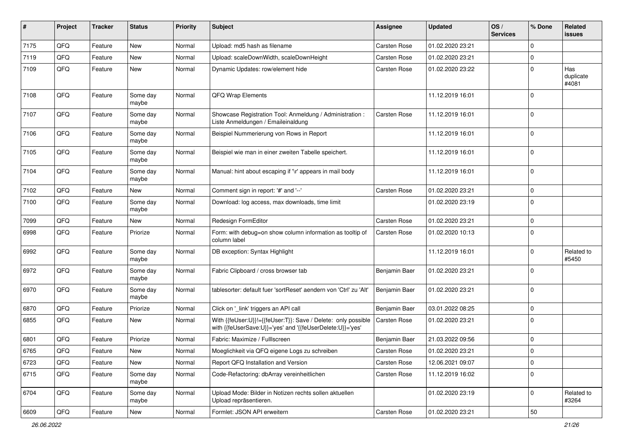| #    | Project | <b>Tracker</b> | <b>Status</b>     | <b>Priority</b> | <b>Subject</b>                                                                                                             | Assignee            | <b>Updated</b>   | OS/<br><b>Services</b> | % Done      | Related<br><b>issues</b>  |
|------|---------|----------------|-------------------|-----------------|----------------------------------------------------------------------------------------------------------------------------|---------------------|------------------|------------------------|-------------|---------------------------|
| 7175 | QFQ     | Feature        | <b>New</b>        | Normal          | Upload: md5 hash as filename                                                                                               | <b>Carsten Rose</b> | 01.02.2020 23:21 |                        | $\mathbf 0$ |                           |
| 7119 | QFQ     | Feature        | New               | Normal          | Upload: scaleDownWidth, scaleDownHeight                                                                                    | <b>Carsten Rose</b> | 01.02.2020 23:21 |                        | 0           |                           |
| 7109 | QFQ     | Feature        | <b>New</b>        | Normal          | Dynamic Updates: row/element hide                                                                                          | Carsten Rose        | 01.02.2020 23:22 |                        | $\mathbf 0$ | Has<br>duplicate<br>#4081 |
| 7108 | QFQ     | Feature        | Some day<br>maybe | Normal          | QFQ Wrap Elements                                                                                                          |                     | 11.12.2019 16:01 |                        | $\mathbf 0$ |                           |
| 7107 | QFQ     | Feature        | Some day<br>maybe | Normal          | Showcase Registration Tool: Anmeldung / Administration :<br>Liste Anmeldungen / Emaileinaldung                             | Carsten Rose        | 11.12.2019 16:01 |                        | $\mathbf 0$ |                           |
| 7106 | QFQ     | Feature        | Some day<br>maybe | Normal          | Beispiel Nummerierung von Rows in Report                                                                                   |                     | 11.12.2019 16:01 |                        | $\mathbf 0$ |                           |
| 7105 | QFQ     | Feature        | Some day<br>maybe | Normal          | Beispiel wie man in einer zweiten Tabelle speichert.                                                                       |                     | 11.12.2019 16:01 |                        | $\mathbf 0$ |                           |
| 7104 | QFQ     | Feature        | Some day<br>maybe | Normal          | Manual: hint about escaping if '\r' appears in mail body                                                                   |                     | 11.12.2019 16:01 |                        | $\mathbf 0$ |                           |
| 7102 | QFQ     | Feature        | New               | Normal          | Comment sign in report: '#' and '--'                                                                                       | Carsten Rose        | 01.02.2020 23:21 |                        | $\mathbf 0$ |                           |
| 7100 | QFQ     | Feature        | Some day<br>maybe | Normal          | Download: log access, max downloads, time limit                                                                            |                     | 01.02.2020 23:19 |                        | $\mathbf 0$ |                           |
| 7099 | QFQ     | Feature        | New               | Normal          | Redesign FormEditor                                                                                                        | Carsten Rose        | 01.02.2020 23:21 |                        | $\mathbf 0$ |                           |
| 6998 | QFQ     | Feature        | Priorize          | Normal          | Form: with debug=on show column information as tooltip of<br>column label                                                  | <b>Carsten Rose</b> | 01.02.2020 10:13 |                        | $\mathbf 0$ |                           |
| 6992 | QFQ     | Feature        | Some day<br>maybe | Normal          | DB exception: Syntax Highlight                                                                                             |                     | 11.12.2019 16:01 |                        | $\mathbf 0$ | Related to<br>#5450       |
| 6972 | QFQ     | Feature        | Some day<br>maybe | Normal          | Fabric Clipboard / cross browser tab                                                                                       | Benjamin Baer       | 01.02.2020 23:21 |                        | $\mathbf 0$ |                           |
| 6970 | QFQ     | Feature        | Some day<br>maybe | Normal          | tablesorter: default fuer 'sortReset' aendern von 'Ctrl' zu 'Alt'                                                          | Benjamin Baer       | 01.02.2020 23:21 |                        | $\mathbf 0$ |                           |
| 6870 | QFQ     | Feature        | Priorize          | Normal          | Click on '_link' triggers an API call                                                                                      | Benjamin Baer       | 03.01.2022 08:25 |                        | $\mathbf 0$ |                           |
| 6855 | QFQ     | Feature        | New               | Normal          | With {{feUser:U}}!={{feUser:T}}: Save / Delete: only possible<br>with {{feUserSave:U}}='yes' and '{{feUserDelete:U}}='yes' | Carsten Rose        | 01.02.2020 23:21 |                        | $\mathbf 0$ |                           |
| 6801 | QFQ     | Feature        | Priorize          | Normal          | Fabric: Maximize / Fulllscreen                                                                                             | Benjamin Baer       | 21.03.2022 09:56 |                        | $\mathbf 0$ |                           |
| 6765 | QFQ     | Feature        | New               | Normal          | Moeglichkeit via QFQ eigene Logs zu schreiben                                                                              | Carsten Rose        | 01.02.2020 23:21 |                        | $\Omega$    |                           |
| 6723 | QFQ     | Feature        | New               | Normal          | Report QFQ Installation and Version                                                                                        | Carsten Rose        | 12.06.2021 09:07 |                        | $\mathbf 0$ |                           |
| 6715 | QFQ     | Feature        | Some day<br>maybe | Normal          | Code-Refactoring: dbArray vereinheitlichen                                                                                 | Carsten Rose        | 11.12.2019 16:02 |                        | $\mathbf 0$ |                           |
| 6704 | QFQ     | Feature        | Some day<br>maybe | Normal          | Upload Mode: Bilder in Notizen rechts sollen aktuellen<br>Upload repräsentieren.                                           |                     | 01.02.2020 23:19 |                        | $\mathbf 0$ | Related to<br>#3264       |
| 6609 | QFG     | Feature        | New               | Normal          | Formlet: JSON API erweitern                                                                                                | Carsten Rose        | 01.02.2020 23:21 |                        | $50\,$      |                           |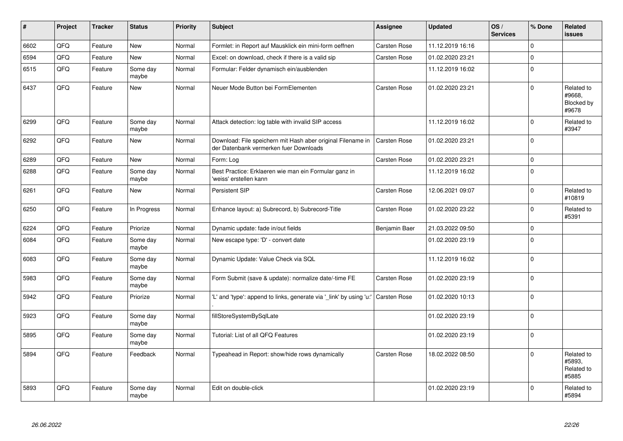| #    | Project | <b>Tracker</b> | <b>Status</b>     | <b>Priority</b> | <b>Subject</b>                                                                                        | <b>Assignee</b>     | <b>Updated</b>   | OS/<br><b>Services</b> | % Done      | Related<br><b>issues</b>                    |
|------|---------|----------------|-------------------|-----------------|-------------------------------------------------------------------------------------------------------|---------------------|------------------|------------------------|-------------|---------------------------------------------|
| 6602 | QFQ     | Feature        | <b>New</b>        | Normal          | Formlet: in Report auf Mausklick ein mini-form oeffnen                                                | <b>Carsten Rose</b> | 11.12.2019 16:16 |                        | $\Omega$    |                                             |
| 6594 | QFQ     | Feature        | <b>New</b>        | Normal          | Excel: on download, check if there is a valid sip                                                     | Carsten Rose        | 01.02.2020 23:21 |                        | $\Omega$    |                                             |
| 6515 | QFQ     | Feature        | Some day<br>maybe | Normal          | Formular: Felder dynamisch ein/ausblenden                                                             |                     | 11.12.2019 16:02 |                        | $\mathbf 0$ |                                             |
| 6437 | QFQ     | Feature        | <b>New</b>        | Normal          | Neuer Mode Button bei FormElementen                                                                   | Carsten Rose        | 01.02.2020 23:21 |                        | $\Omega$    | Related to<br>#9668,<br>Blocked by<br>#9678 |
| 6299 | QFQ     | Feature        | Some day<br>maybe | Normal          | Attack detection: log table with invalid SIP access                                                   |                     | 11.12.2019 16:02 |                        | $\Omega$    | Related to<br>#3947                         |
| 6292 | QFQ     | Feature        | <b>New</b>        | Normal          | Download: File speichern mit Hash aber original Filename in<br>der Datenbank vermerken fuer Downloads | Carsten Rose        | 01.02.2020 23:21 |                        | $\Omega$    |                                             |
| 6289 | QFQ     | Feature        | <b>New</b>        | Normal          | Form: Log                                                                                             | <b>Carsten Rose</b> | 01.02.2020 23:21 |                        | $\mathbf 0$ |                                             |
| 6288 | QFQ     | Feature        | Some day<br>maybe | Normal          | Best Practice: Erklaeren wie man ein Formular ganz in<br>'weiss' erstellen kann                       |                     | 11.12.2019 16:02 |                        | $\Omega$    |                                             |
| 6261 | QFQ     | Feature        | <b>New</b>        | Normal          | Persistent SIP                                                                                        | Carsten Rose        | 12.06.2021 09:07 |                        | $\Omega$    | Related to<br>#10819                        |
| 6250 | QFQ     | Feature        | In Progress       | Normal          | Enhance layout: a) Subrecord, b) Subrecord-Title                                                      | Carsten Rose        | 01.02.2020 23:22 |                        | $\Omega$    | Related to<br>#5391                         |
| 6224 | QFQ     | Feature        | Priorize          | Normal          | Dynamic update: fade in/out fields                                                                    | Benjamin Baer       | 21.03.2022 09:50 |                        | $\Omega$    |                                             |
| 6084 | QFQ     | Feature        | Some day<br>maybe | Normal          | New escape type: 'D' - convert date                                                                   |                     | 01.02.2020 23:19 |                        | $\Omega$    |                                             |
| 6083 | QFQ     | Feature        | Some day<br>maybe | Normal          | Dynamic Update: Value Check via SQL                                                                   |                     | 11.12.2019 16:02 |                        | $\Omega$    |                                             |
| 5983 | QFQ     | Feature        | Some day<br>maybe | Normal          | Form Submit (save & update): normalize date/-time FE                                                  | <b>Carsten Rose</b> | 01.02.2020 23:19 |                        | $\Omega$    |                                             |
| 5942 | QFQ     | Feature        | Priorize          | Normal          | 'L' and 'type': append to links, generate via 'link' by using 'u:'                                    | <b>Carsten Rose</b> | 01.02.2020 10:13 |                        | $\Omega$    |                                             |
| 5923 | QFQ     | Feature        | Some day<br>maybe | Normal          | fillStoreSystemBySqlLate                                                                              |                     | 01.02.2020 23:19 |                        | $\mathbf 0$ |                                             |
| 5895 | QFQ     | Feature        | Some day<br>maybe | Normal          | Tutorial: List of all QFQ Features                                                                    |                     | 01.02.2020 23:19 |                        | $\mathbf 0$ |                                             |
| 5894 | QFQ     | Feature        | Feedback          | Normal          | Typeahead in Report: show/hide rows dynamically                                                       | Carsten Rose        | 18.02.2022 08:50 |                        | $\mathbf 0$ | Related to<br>#5893,<br>Related to<br>#5885 |
| 5893 | QFQ     | Feature        | Some day<br>maybe | Normal          | Edit on double-click                                                                                  |                     | 01.02.2020 23:19 |                        | $\Omega$    | Related to<br>#5894                         |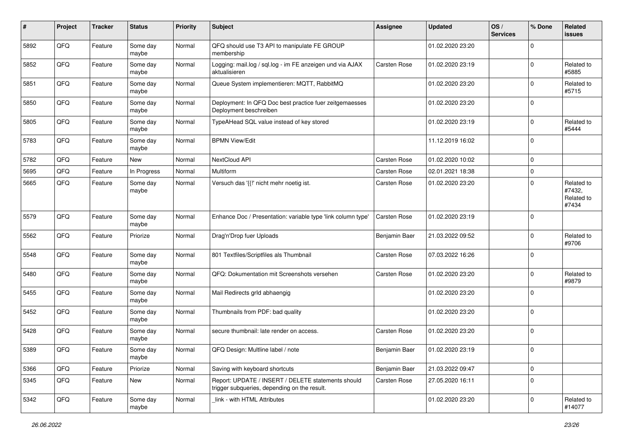| #    | Project | <b>Tracker</b> | <b>Status</b>     | <b>Priority</b> | <b>Subject</b>                                                                                     | <b>Assignee</b>     | <b>Updated</b>   | OS/<br><b>Services</b> | % Done      | Related<br><b>issues</b>                    |
|------|---------|----------------|-------------------|-----------------|----------------------------------------------------------------------------------------------------|---------------------|------------------|------------------------|-------------|---------------------------------------------|
| 5892 | QFQ     | Feature        | Some day<br>maybe | Normal          | QFQ should use T3 API to manipulate FE GROUP<br>membership                                         |                     | 01.02.2020 23:20 |                        | $\Omega$    |                                             |
| 5852 | QFQ     | Feature        | Some day<br>maybe | Normal          | Logging: mail.log / sql.log - im FE anzeigen und via AJAX<br>aktualisieren                         | <b>Carsten Rose</b> | 01.02.2020 23:19 |                        | $\Omega$    | Related to<br>#5885                         |
| 5851 | QFQ     | Feature        | Some day<br>maybe | Normal          | Queue System implementieren: MQTT, RabbitMQ                                                        |                     | 01.02.2020 23:20 |                        | 0           | Related to<br>#5715                         |
| 5850 | QFQ     | Feature        | Some day<br>maybe | Normal          | Deployment: In QFQ Doc best practice fuer zeitgemaesses<br>Deployment beschreiben                  |                     | 01.02.2020 23:20 |                        | $\Omega$    |                                             |
| 5805 | QFQ     | Feature        | Some day<br>maybe | Normal          | TypeAHead SQL value instead of key stored                                                          |                     | 01.02.2020 23:19 |                        | $\Omega$    | Related to<br>#5444                         |
| 5783 | QFQ     | Feature        | Some day<br>maybe | Normal          | <b>BPMN View/Edit</b>                                                                              |                     | 11.12.2019 16:02 |                        | $\Omega$    |                                             |
| 5782 | QFQ     | Feature        | New               | Normal          | NextCloud API                                                                                      | Carsten Rose        | 01.02.2020 10:02 |                        | $\mathbf 0$ |                                             |
| 5695 | QFQ     | Feature        | In Progress       | Normal          | Multiform                                                                                          | Carsten Rose        | 02.01.2021 18:38 |                        | 0           |                                             |
| 5665 | QFQ     | Feature        | Some day<br>maybe | Normal          | Versuch das '{{!' nicht mehr noetig ist.                                                           | Carsten Rose        | 01.02.2020 23:20 |                        | 0           | Related to<br>#7432,<br>Related to<br>#7434 |
| 5579 | QFQ     | Feature        | Some day<br>maybe | Normal          | Enhance Doc / Presentation: variable type 'link column type'                                       | Carsten Rose        | 01.02.2020 23:19 |                        | $\Omega$    |                                             |
| 5562 | QFQ     | Feature        | Priorize          | Normal          | Drag'n'Drop fuer Uploads                                                                           | Benjamin Baer       | 21.03.2022 09:52 |                        | $\Omega$    | Related to<br>#9706                         |
| 5548 | QFQ     | Feature        | Some day<br>maybe | Normal          | 801 Textfiles/Scriptfiles als Thumbnail                                                            | Carsten Rose        | 07.03.2022 16:26 |                        | $\Omega$    |                                             |
| 5480 | QFQ     | Feature        | Some day<br>maybe | Normal          | QFQ: Dokumentation mit Screenshots versehen                                                        | Carsten Rose        | 01.02.2020 23:20 |                        | $\Omega$    | Related to<br>#9879                         |
| 5455 | QFQ     | Feature        | Some day<br>maybe | Normal          | Mail Redirects grld abhaengig                                                                      |                     | 01.02.2020 23:20 |                        | $\Omega$    |                                             |
| 5452 | QFQ     | Feature        | Some day<br>maybe | Normal          | Thumbnails from PDF: bad quality                                                                   |                     | 01.02.2020 23:20 |                        | $\Omega$    |                                             |
| 5428 | QFQ     | Feature        | Some day<br>maybe | Normal          | secure thumbnail: late render on access.                                                           | Carsten Rose        | 01.02.2020 23:20 |                        | $\mathbf 0$ |                                             |
| 5389 | QFQ     | Feature        | Some day<br>maybe | Normal          | QFQ Design: Multline label / note                                                                  | Benjamin Baer       | 01.02.2020 23:19 |                        | $\Omega$    |                                             |
| 5366 | QFQ     | Feature        | Priorize          | Normal          | Saving with keyboard shortcuts                                                                     | Benjamin Baer       | 21.03.2022 09:47 |                        | $\mathbf 0$ |                                             |
| 5345 | QFQ     | Feature        | New               | Normal          | Report: UPDATE / INSERT / DELETE statements should<br>trigger subqueries, depending on the result. | Carsten Rose        | 27.05.2020 16:11 |                        | $\mathbf 0$ |                                             |
| 5342 | QFQ     | Feature        | Some day<br>maybe | Normal          | link - with HTML Attributes                                                                        |                     | 01.02.2020 23:20 |                        | 0           | Related to<br>#14077                        |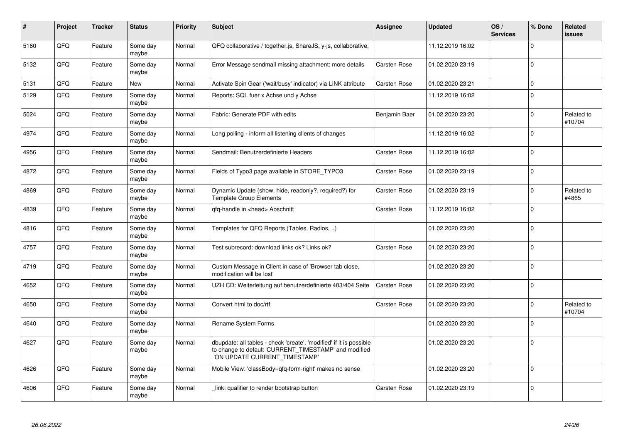| $\pmb{\#}$ | Project | <b>Tracker</b> | <b>Status</b>     | <b>Priority</b> | <b>Subject</b>                                                                                                                                                | <b>Assignee</b>     | <b>Updated</b>   | OS/<br><b>Services</b> | % Done      | <b>Related</b><br><b>issues</b> |
|------------|---------|----------------|-------------------|-----------------|---------------------------------------------------------------------------------------------------------------------------------------------------------------|---------------------|------------------|------------------------|-------------|---------------------------------|
| 5160       | QFQ     | Feature        | Some day<br>maybe | Normal          | QFQ collaborative / together.js, ShareJS, y-js, collaborative,                                                                                                |                     | 11.12.2019 16:02 |                        | $\Omega$    |                                 |
| 5132       | QFQ     | Feature        | Some day<br>maybe | Normal          | Error Message sendmail missing attachment: more details                                                                                                       | <b>Carsten Rose</b> | 01.02.2020 23:19 |                        | $\Omega$    |                                 |
| 5131       | QFQ     | Feature        | <b>New</b>        | Normal          | Activate Spin Gear ('wait/busy' indicator) via LINK attribute                                                                                                 | <b>Carsten Rose</b> | 01.02.2020 23:21 |                        | $\mathbf 0$ |                                 |
| 5129       | QFQ     | Feature        | Some day<br>maybe | Normal          | Reports: SQL fuer x Achse und y Achse                                                                                                                         |                     | 11.12.2019 16:02 |                        | $\Omega$    |                                 |
| 5024       | QFQ     | Feature        | Some day<br>maybe | Normal          | Fabric: Generate PDF with edits                                                                                                                               | Benjamin Baer       | 01.02.2020 23:20 |                        | $\Omega$    | Related to<br>#10704            |
| 4974       | QFQ     | Feature        | Some day<br>maybe | Normal          | Long polling - inform all listening clients of changes                                                                                                        |                     | 11.12.2019 16:02 |                        | $\Omega$    |                                 |
| 4956       | QFQ     | Feature        | Some day<br>maybe | Normal          | Sendmail: Benutzerdefinierte Headers                                                                                                                          | Carsten Rose        | 11.12.2019 16:02 |                        | $\mathbf 0$ |                                 |
| 4872       | QFQ     | Feature        | Some day<br>maybe | Normal          | Fields of Typo3 page available in STORE_TYPO3                                                                                                                 | Carsten Rose        | 01.02.2020 23:19 |                        | $\Omega$    |                                 |
| 4869       | QFQ     | Feature        | Some day<br>maybe | Normal          | Dynamic Update (show, hide, readonly?, required?) for<br><b>Template Group Elements</b>                                                                       | <b>Carsten Rose</b> | 01.02.2020 23:19 |                        | $\Omega$    | Related to<br>#4865             |
| 4839       | QFQ     | Feature        | Some day<br>maybe | Normal          | qfq-handle in <head> Abschnitt</head>                                                                                                                         | <b>Carsten Rose</b> | 11.12.2019 16:02 |                        | $\Omega$    |                                 |
| 4816       | QFQ     | Feature        | Some day<br>maybe | Normal          | Templates for QFQ Reports (Tables, Radios, )                                                                                                                  |                     | 01.02.2020 23:20 |                        | $\Omega$    |                                 |
| 4757       | QFQ     | Feature        | Some day<br>maybe | Normal          | Test subrecord: download links ok? Links ok?                                                                                                                  | <b>Carsten Rose</b> | 01.02.2020 23:20 |                        | $\Omega$    |                                 |
| 4719       | QFQ     | Feature        | Some day<br>maybe | Normal          | Custom Message in Client in case of 'Browser tab close,<br>modification will be lost'                                                                         |                     | 01.02.2020 23:20 |                        | $\Omega$    |                                 |
| 4652       | QFQ     | Feature        | Some day<br>maybe | Normal          | UZH CD: Weiterleitung auf benutzerdefinierte 403/404 Seite                                                                                                    | <b>Carsten Rose</b> | 01.02.2020 23:20 |                        | $\Omega$    |                                 |
| 4650       | QFQ     | Feature        | Some day<br>maybe | Normal          | Convert html to doc/rtf                                                                                                                                       | Carsten Rose        | 01.02.2020 23:20 |                        | $\mathbf 0$ | Related to<br>#10704            |
| 4640       | QFQ     | Feature        | Some day<br>maybe | Normal          | Rename System Forms                                                                                                                                           |                     | 01.02.2020 23:20 |                        | $\Omega$    |                                 |
| 4627       | QFQ     | Feature        | Some day<br>maybe | Normal          | dbupdate: all tables - check 'create', 'modified' if it is possible<br>to change to default 'CURRENT_TIMESTAMP' and modified<br>'ON UPDATE CURRENT_TIMESTAMP' |                     | 01.02.2020 23:20 |                        | $\Omega$    |                                 |
| 4626       | QFQ     | Feature        | Some day<br>maybe | Normal          | Mobile View: 'classBody=qfq-form-right' makes no sense                                                                                                        |                     | 01.02.2020 23:20 |                        | $\Omega$    |                                 |
| 4606       | QFQ     | Feature        | Some day<br>maybe | Normal          | link: qualifier to render bootstrap button                                                                                                                    | <b>Carsten Rose</b> | 01.02.2020 23:19 |                        | $\Omega$    |                                 |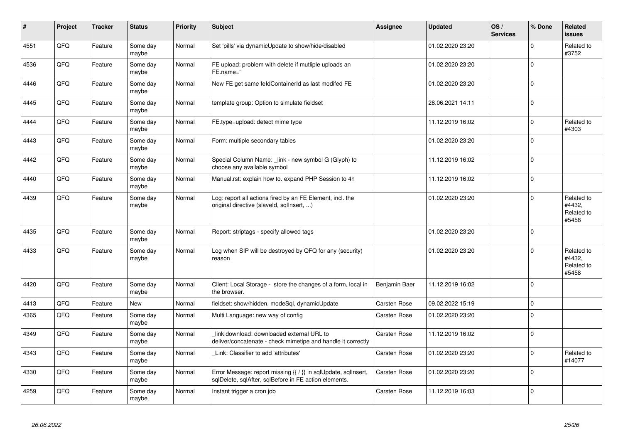| #    | Project | <b>Tracker</b> | <b>Status</b>     | <b>Priority</b> | <b>Subject</b>                                                                                                          | Assignee            | <b>Updated</b>   | OS/<br><b>Services</b> | % Done       | <b>Related</b><br><b>issues</b>             |
|------|---------|----------------|-------------------|-----------------|-------------------------------------------------------------------------------------------------------------------------|---------------------|------------------|------------------------|--------------|---------------------------------------------|
| 4551 | QFQ     | Feature        | Some day<br>maybe | Normal          | Set 'pills' via dynamicUpdate to show/hide/disabled                                                                     |                     | 01.02.2020 23:20 |                        | $\mathbf 0$  | Related to<br>#3752                         |
| 4536 | QFQ     | Feature        | Some dav<br>maybe | Normal          | FE upload: problem with delete if mutliple uploads an<br>FE.name="                                                      |                     | 01.02.2020 23:20 |                        | $\mathbf 0$  |                                             |
| 4446 | QFQ     | Feature        | Some dav<br>maybe | Normal          | New FE get same feldContainerId as last modifed FE                                                                      |                     | 01.02.2020 23:20 |                        | $\mathbf 0$  |                                             |
| 4445 | QFQ     | Feature        | Some day<br>maybe | Normal          | template group: Option to simulate fieldset                                                                             |                     | 28.06.2021 14:11 |                        | $\mathbf 0$  |                                             |
| 4444 | QFQ     | Feature        | Some day<br>maybe | Normal          | FE.type=upload: detect mime type                                                                                        |                     | 11.12.2019 16:02 |                        | $\mathbf 0$  | Related to<br>#4303                         |
| 4443 | QFQ     | Feature        | Some day<br>maybe | Normal          | Form: multiple secondary tables                                                                                         |                     | 01.02.2020 23:20 |                        | $\mathsf 0$  |                                             |
| 4442 | QFQ     | Feature        | Some day<br>maybe | Normal          | Special Column Name: link - new symbol G (Glyph) to<br>choose any available symbol                                      |                     | 11.12.2019 16:02 |                        | $\mathbf 0$  |                                             |
| 4440 | QFQ     | Feature        | Some day<br>maybe | Normal          | Manual.rst: explain how to. expand PHP Session to 4h                                                                    |                     | 11.12.2019 16:02 |                        | $\mathbf 0$  |                                             |
| 4439 | QFQ     | Feature        | Some day<br>maybe | Normal          | Log: report all actions fired by an FE Element, incl. the<br>original directive (slaveld, sqllnsert, )                  |                     | 01.02.2020 23:20 |                        | $\pmb{0}$    | Related to<br>#4432,<br>Related to<br>#5458 |
| 4435 | QFQ     | Feature        | Some day<br>maybe | Normal          | Report: striptags - specify allowed tags                                                                                |                     | 01.02.2020 23:20 |                        | $\Omega$     |                                             |
| 4433 | QFQ     | Feature        | Some day<br>maybe | Normal          | Log when SIP will be destroyed by QFQ for any (security)<br>reason                                                      |                     | 01.02.2020 23:20 |                        | $\Omega$     | Related to<br>#4432,<br>Related to<br>#5458 |
| 4420 | QFQ     | Feature        | Some day<br>maybe | Normal          | Client: Local Storage - store the changes of a form, local in<br>the browser.                                           | Benjamin Baer       | 11.12.2019 16:02 |                        | $\mathbf 0$  |                                             |
| 4413 | QFQ     | Feature        | New               | Normal          | fieldset: show/hidden, modeSql, dynamicUpdate                                                                           | <b>Carsten Rose</b> | 09.02.2022 15:19 |                        | $\mathbf 0$  |                                             |
| 4365 | QFQ     | Feature        | Some day<br>maybe | Normal          | Multi Language: new way of config                                                                                       | Carsten Rose        | 01.02.2020 23:20 |                        | $\mathsf 0$  |                                             |
| 4349 | QFQ     | Feature        | Some day<br>maybe | Normal          | link download: downloaded external URL to<br>deliver/concatenate - check mimetipe and handle it correctly               | Carsten Rose        | 11.12.2019 16:02 |                        | $\mathbf{0}$ |                                             |
| 4343 | QFQ     | Feature        | Some day<br>maybe | Normal          | Link: Classifier to add 'attributes'                                                                                    | Carsten Rose        | 01.02.2020 23:20 |                        | $\mathbf 0$  | Related to<br>#14077                        |
| 4330 | QFQ     | Feature        | Some day<br>maybe | Normal          | Error Message: report missing {{ / }} in sqlUpdate, sqlInsert,<br>sqlDelete, sqlAfter, sqlBefore in FE action elements. | Carsten Rose        | 01.02.2020 23:20 |                        | $\mathbf 0$  |                                             |
| 4259 | QFQ     | Feature        | Some day<br>maybe | Normal          | Instant trigger a cron job                                                                                              | <b>Carsten Rose</b> | 11.12.2019 16:03 |                        | $\mathbf 0$  |                                             |